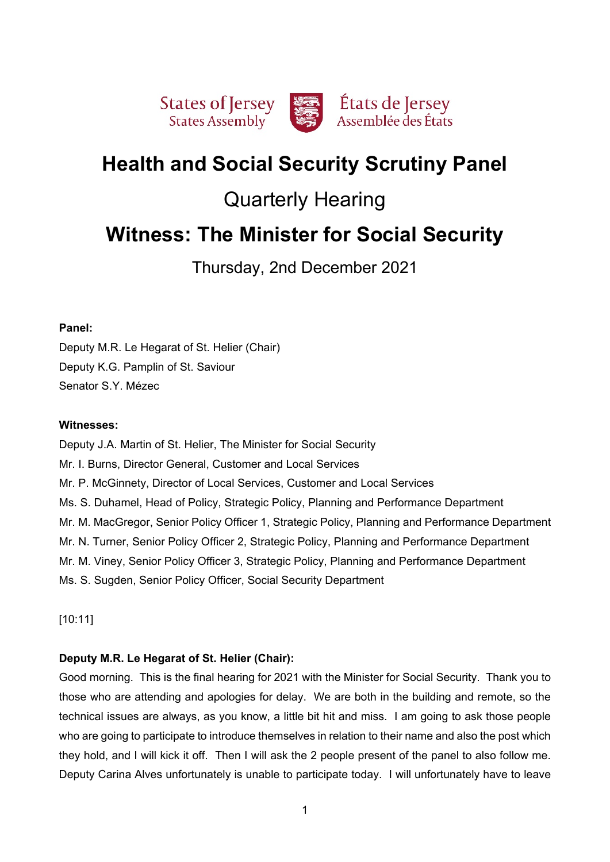

# **Health and Social Security Scrutiny Panel**

# Quarterly Hearing

# **Witness: The Minister for Social Security**

Thursday, 2nd December 2021

## **Panel:**

Deputy M.R. Le Hegarat of St. Helier (Chair) Deputy K.G. Pamplin of St. Saviour Senator S.Y. Mézec

## **Witnesses:**

Deputy J.A. Martin of St. Helier, The Minister for Social Security Mr. I. Burns, Director General, Customer and Local Services Mr. P. McGinnety, Director of Local Services, Customer and Local Services Ms. S. Duhamel, Head of Policy, Strategic Policy, Planning and Performance Department Mr. M. MacGregor, Senior Policy Officer 1, Strategic Policy, Planning and Performance Department Mr. N. Turner, Senior Policy Officer 2, Strategic Policy, Planning and Performance Department Mr. M. Viney, Senior Policy Officer 3, Strategic Policy, Planning and Performance Department Ms. S. Sugden, Senior Policy Officer, Social Security Department

[10:11]

# **Deputy M.R. Le Hegarat of St. Helier (Chair):**

Good morning. This is the final hearing for 2021 with the Minister for Social Security. Thank you to those who are attending and apologies for delay. We are both in the building and remote, so the technical issues are always, as you know, a little bit hit and miss. I am going to ask those people who are going to participate to introduce themselves in relation to their name and also the post which they hold, and I will kick it off. Then I will ask the 2 people present of the panel to also follow me. Deputy Carina Alves unfortunately is unable to participate today. I will unfortunately have to leave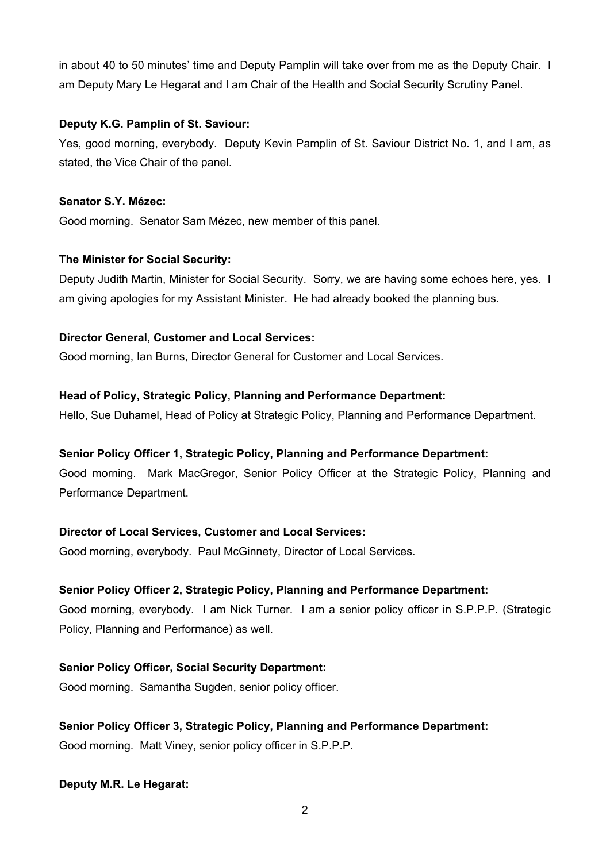in about 40 to 50 minutes' time and Deputy Pamplin will take over from me as the Deputy Chair. I am Deputy Mary Le Hegarat and I am Chair of the Health and Social Security Scrutiny Panel.

# **Deputy K.G. Pamplin of St. Saviour:**

Yes, good morning, everybody. Deputy Kevin Pamplin of St. Saviour District No. 1, and I am, as stated, the Vice Chair of the panel.

# **Senator S.Y. Mézec:**

Good morning. Senator Sam Mézec, new member of this panel.

# **The Minister for Social Security:**

Deputy Judith Martin, Minister for Social Security. Sorry, we are having some echoes here, yes. I am giving apologies for my Assistant Minister. He had already booked the planning bus.

# **Director General, Customer and Local Services:**

Good morning, Ian Burns, Director General for Customer and Local Services.

# **Head of Policy, Strategic Policy, Planning and Performance Department:**

Hello, Sue Duhamel, Head of Policy at Strategic Policy, Planning and Performance Department.

# **Senior Policy Officer 1, Strategic Policy, Planning and Performance Department:**

Good morning. Mark MacGregor, Senior Policy Officer at the Strategic Policy, Planning and Performance Department.

# **Director of Local Services, Customer and Local Services:**

Good morning, everybody. Paul McGinnety, Director of Local Services.

# **Senior Policy Officer 2, Strategic Policy, Planning and Performance Department:**

Good morning, everybody. I am Nick Turner. I am a senior policy officer in S.P.P.P. (Strategic Policy, Planning and Performance) as well.

# **Senior Policy Officer, Social Security Department:**

Good morning. Samantha Sugden, senior policy officer.

# **Senior Policy Officer 3, Strategic Policy, Planning and Performance Department:**

Good morning. Matt Viney, senior policy officer in S.P.P.P.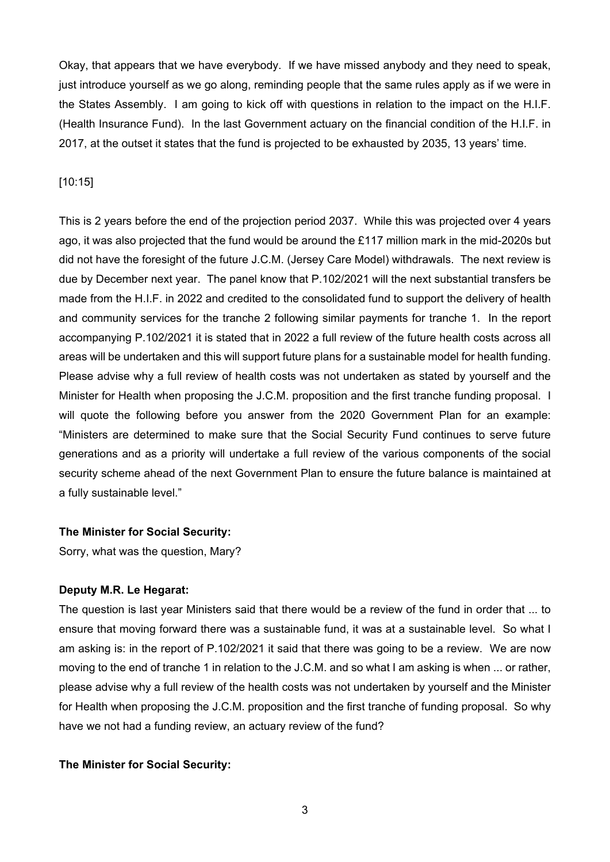Okay, that appears that we have everybody. If we have missed anybody and they need to speak, just introduce yourself as we go along, reminding people that the same rules apply as if we were in the States Assembly. I am going to kick off with questions in relation to the impact on the H.I.F. (Health Insurance Fund). In the last Government actuary on the financial condition of the H.I.F. in 2017, at the outset it states that the fund is projected to be exhausted by 2035, 13 years' time.

#### [10:15]

This is 2 years before the end of the projection period 2037. While this was projected over 4 years ago, it was also projected that the fund would be around the £117 million mark in the mid-2020s but did not have the foresight of the future J.C.M. (Jersey Care Model) withdrawals. The next review is due by December next year. The panel know that P.102/2021 will the next substantial transfers be made from the H.I.F. in 2022 and credited to the consolidated fund to support the delivery of health and community services for the tranche 2 following similar payments for tranche 1. In the report accompanying P.102/2021 it is stated that in 2022 a full review of the future health costs across all areas will be undertaken and this will support future plans for a sustainable model for health funding. Please advise why a full review of health costs was not undertaken as stated by yourself and the Minister for Health when proposing the J.C.M. proposition and the first tranche funding proposal. I will quote the following before you answer from the 2020 Government Plan for an example: "Ministers are determined to make sure that the Social Security Fund continues to serve future generations and as a priority will undertake a full review of the various components of the social security scheme ahead of the next Government Plan to ensure the future balance is maintained at a fully sustainable level."

#### **The Minister for Social Security:**

Sorry, what was the question, Mary?

#### **Deputy M.R. Le Hegarat:**

The question is last year Ministers said that there would be a review of the fund in order that ... to ensure that moving forward there was a sustainable fund, it was at a sustainable level. So what I am asking is: in the report of P.102/2021 it said that there was going to be a review. We are now moving to the end of tranche 1 in relation to the J.C.M. and so what I am asking is when ... or rather, please advise why a full review of the health costs was not undertaken by yourself and the Minister for Health when proposing the J.C.M. proposition and the first tranche of funding proposal. So why have we not had a funding review, an actuary review of the fund?

#### **The Minister for Social Security:**

3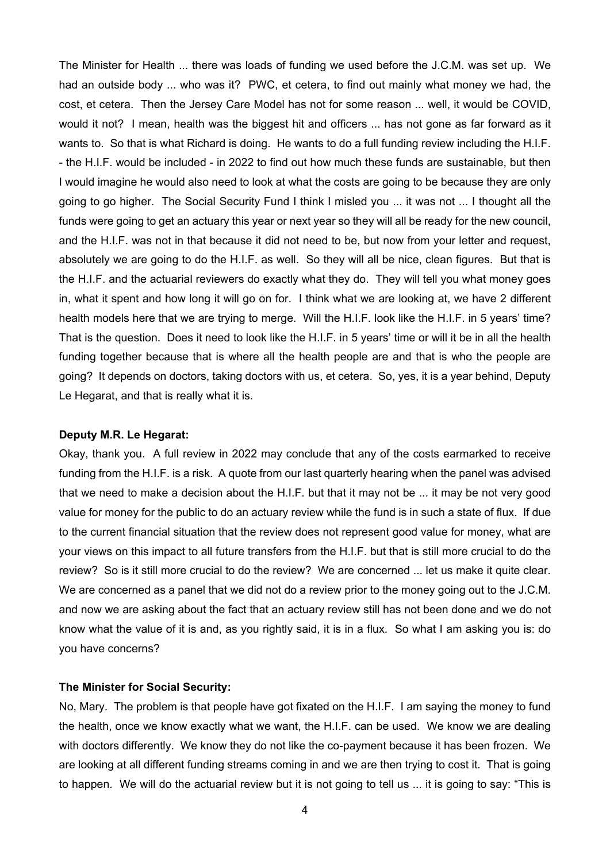The Minister for Health ... there was loads of funding we used before the J.C.M. was set up. We had an outside body ... who was it? PWC, et cetera, to find out mainly what money we had, the cost, et cetera. Then the Jersey Care Model has not for some reason ... well, it would be COVID, would it not? I mean, health was the biggest hit and officers ... has not gone as far forward as it wants to. So that is what Richard is doing. He wants to do a full funding review including the H.I.F. - the H.I.F. would be included - in 2022 to find out how much these funds are sustainable, but then I would imagine he would also need to look at what the costs are going to be because they are only going to go higher. The Social Security Fund I think I misled you ... it was not ... I thought all the funds were going to get an actuary this year or next year so they will all be ready for the new council, and the H.I.F. was not in that because it did not need to be, but now from your letter and request, absolutely we are going to do the H.I.F. as well. So they will all be nice, clean figures. But that is the H.I.F. and the actuarial reviewers do exactly what they do. They will tell you what money goes in, what it spent and how long it will go on for. I think what we are looking at, we have 2 different health models here that we are trying to merge. Will the H.I.F. look like the H.I.F. in 5 years' time? That is the question. Does it need to look like the H.I.F. in 5 years' time or will it be in all the health funding together because that is where all the health people are and that is who the people are going? It depends on doctors, taking doctors with us, et cetera. So, yes, it is a year behind, Deputy Le Hegarat, and that is really what it is.

#### **Deputy M.R. Le Hegarat:**

Okay, thank you. A full review in 2022 may conclude that any of the costs earmarked to receive funding from the H.I.F. is a risk. A quote from our last quarterly hearing when the panel was advised that we need to make a decision about the H.I.F. but that it may not be ... it may be not very good value for money for the public to do an actuary review while the fund is in such a state of flux. If due to the current financial situation that the review does not represent good value for money, what are your views on this impact to all future transfers from the H.I.F. but that is still more crucial to do the review? So is it still more crucial to do the review? We are concerned ... let us make it quite clear. We are concerned as a panel that we did not do a review prior to the money going out to the J.C.M. and now we are asking about the fact that an actuary review still has not been done and we do not know what the value of it is and, as you rightly said, it is in a flux. So what I am asking you is: do you have concerns?

#### **The Minister for Social Security:**

No, Mary. The problem is that people have got fixated on the H.I.F. I am saying the money to fund the health, once we know exactly what we want, the H.I.F. can be used. We know we are dealing with doctors differently. We know they do not like the co-payment because it has been frozen. We are looking at all different funding streams coming in and we are then trying to cost it. That is going to happen. We will do the actuarial review but it is not going to tell us ... it is going to say: "This is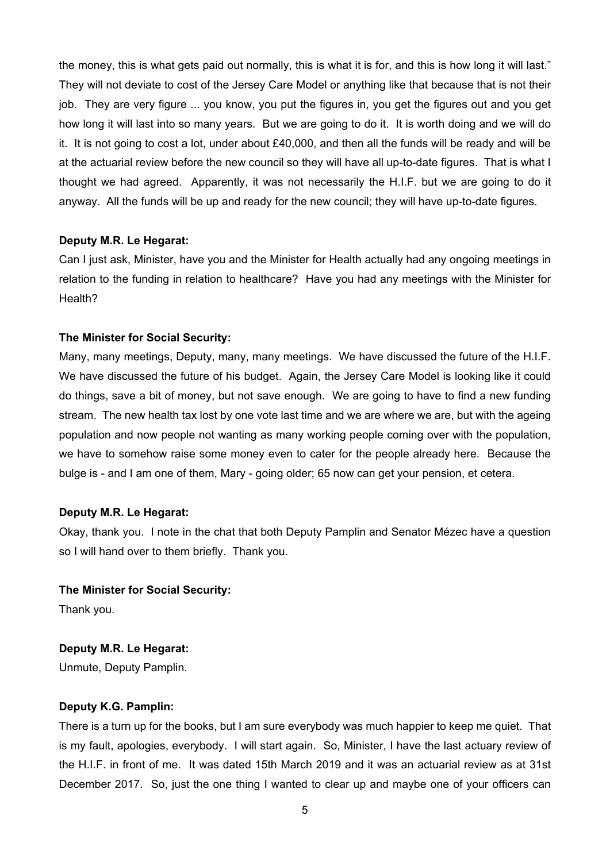the money, this is what gets paid out normally, this is what it is for, and this is how long it will last." They will not deviate to cost of the Jersey Care Model or anything like that because that is not their job. They are very figure ... you know, you put the figures in, you get the figures out and you get how long it will last into so many years. But we are going to do it. It is worth doing and we will do it. It is not going to cost a lot, under about £40,000, and then all the funds will be ready and will be at the actuarial review before the new council so they will have all up-to-date figures. That is what I thought we had agreed. Apparently, it was not necessarily the H.I.F. but we are going to do it anyway. All the funds will be up and ready for the new council; they will have up-to-date figures.

#### **Deputy M.R. Le Hegarat:**

Can I just ask, Minister, have you and the Minister for Health actually had any ongoing meetings in relation to the funding in relation to healthcare? Have you had any meetings with the Minister for Health?

#### **The Minister for Social Security:**

Many, many meetings, Deputy, many, many meetings. We have discussed the future of the H.I.F. We have discussed the future of his budget. Again, the Jersey Care Model is looking like it could do things, save a bit of money, but not save enough. We are going to have to find a new funding stream. The new health tax lost by one vote last time and we are where we are, but with the ageing population and now people not wanting as many working people coming over with the population, we have to somehow raise some money even to cater for the people already here. Because the bulge is - and I am one of them, Mary - going older; 65 now can get your pension, et cetera.

#### **Deputy M.R. Le Hegarat:**

Okay, thank you. I note in the chat that both Deputy Pamplin and Senator Mézec have a question so I will hand over to them briefly. Thank you.

#### **The Minister for Social Security:**

Thank you.

# **Deputy M.R. Le Hegarat:**

Unmute, Deputy Pamplin.

#### **Deputy K.G. Pamplin:**

There is a turn up for the books, but I am sure everybody was much happier to keep me quiet. That is my fault, apologies, everybody. I will start again. So, Minister, I have the last actuary review of the H.I.F. in front of me. It was dated 15th March 2019 and it was an actuarial review as at 31st December 2017. So, just the one thing I wanted to clear up and maybe one of your officers can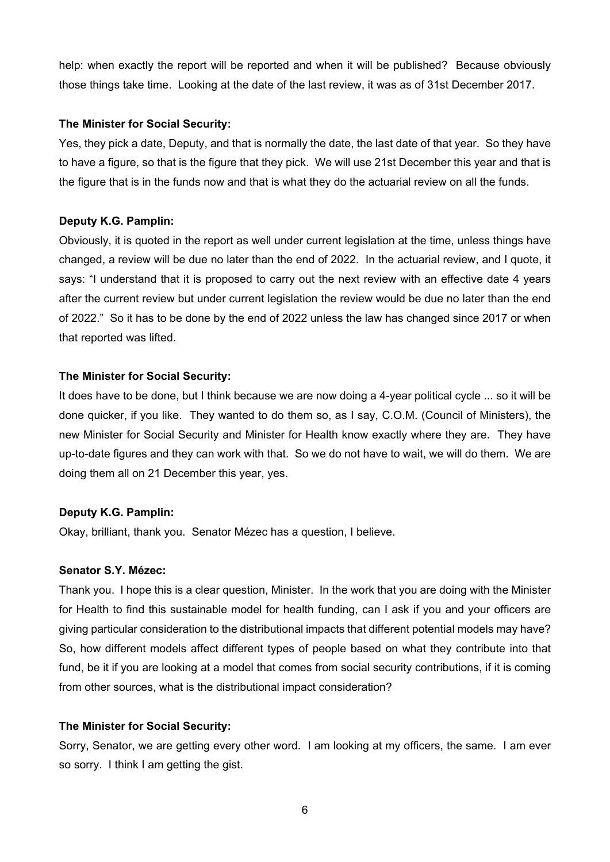help: when exactly the report will be reported and when it will be published? Because obviously those things take time. Looking at the date of the last review, it was as of 31st December 2017.

#### **The Minister for Social Security:**

Yes, they pick a date, Deputy, and that is normally the date, the last date of that year. So they have to have a figure, so that is the figure that they pick. We will use 21st December this year and that is the figure that is in the funds now and that is what they do the actuarial review on all the funds.

## **Deputy K.G. Pamplin:**

Obviously, it is quoted in the report as well under current legislation at the time, unless things have changed, a review will be due no later than the end of 2022. In the actuarial review, and I quote, it says: "I understand that it is proposed to carry out the next review with an effective date 4 years after the current review but under current legislation the review would be due no later than the end of 2022." So it has to be done by the end of 2022 unless the law has changed since 2017 or when that reported was lifted.

## **The Minister for Social Security:**

It does have to be done, but I think because we are now doing a 4-year political cycle ... so it will be done quicker, if you like. They wanted to do them so, as I say, C.O.M. (Council of Ministers), the new Minister for Social Security and Minister for Health know exactly where they are. They have up-to-date figures and they can work with that. So we do not have to wait, we will do them. We are doing them all on 21 December this year, yes.

## **Deputy K.G. Pamplin:**

Okay, brilliant, thank you. Senator Mézec has a question, I believe.

#### **Senator S.Y. Mézec:**

Thank you. I hope this is a clear question, Minister. In the work that you are doing with the Minister for Health to find this sustainable model for health funding, can I ask if you and your officers are giving particular consideration to the distributional impacts that different potential models may have? So, how different models affect different types of people based on what they contribute into that fund, be it if you are looking at a model that comes from social security contributions, if it is coming from other sources, what is the distributional impact consideration?

## **The Minister for Social Security:**

Sorry, Senator, we are getting every other word. I am looking at my officers, the same. I am ever so sorry. I think I am getting the gist.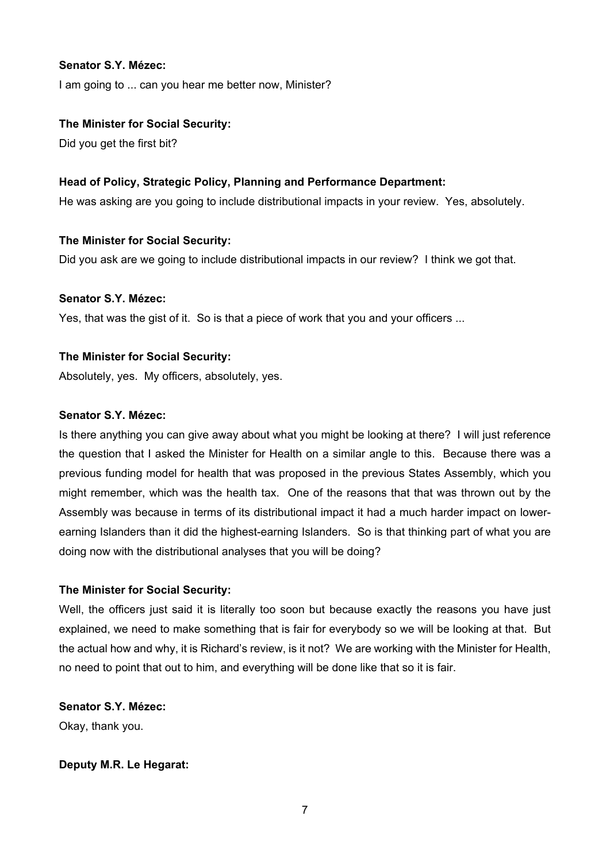#### **Senator S.Y. Mézec:**

I am going to ... can you hear me better now, Minister?

#### **The Minister for Social Security:**

Did you get the first bit?

#### **Head of Policy, Strategic Policy, Planning and Performance Department:**

He was asking are you going to include distributional impacts in your review. Yes, absolutely.

#### **The Minister for Social Security:**

Did you ask are we going to include distributional impacts in our review? I think we got that.

#### **Senator S.Y. Mézec:**

Yes, that was the gist of it. So is that a piece of work that you and your officers ...

#### **The Minister for Social Security:**

Absolutely, yes. My officers, absolutely, yes.

#### **Senator S.Y. Mézec:**

Is there anything you can give away about what you might be looking at there? I will just reference the question that I asked the Minister for Health on a similar angle to this. Because there was a previous funding model for health that was proposed in the previous States Assembly, which you might remember, which was the health tax. One of the reasons that that was thrown out by the Assembly was because in terms of its distributional impact it had a much harder impact on lowerearning Islanders than it did the highest-earning Islanders. So is that thinking part of what you are doing now with the distributional analyses that you will be doing?

# **The Minister for Social Security:**

Well, the officers just said it is literally too soon but because exactly the reasons you have just explained, we need to make something that is fair for everybody so we will be looking at that. But the actual how and why, it is Richard's review, is it not? We are working with the Minister for Health, no need to point that out to him, and everything will be done like that so it is fair.

**Senator S.Y. Mézec:** Okay, thank you.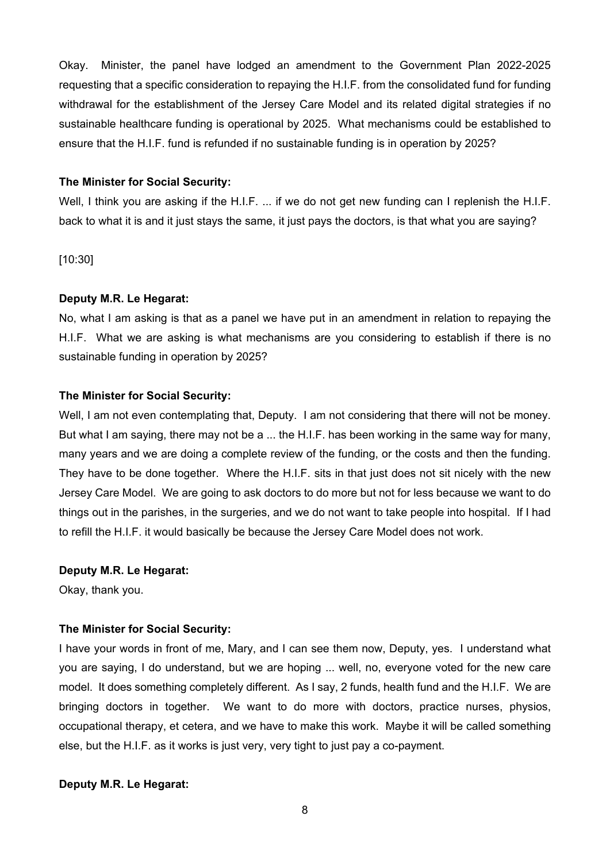Okay. Minister, the panel have lodged an amendment to the Government Plan 2022-2025 requesting that a specific consideration to repaying the H.I.F. from the consolidated fund for funding withdrawal for the establishment of the Jersey Care Model and its related digital strategies if no sustainable healthcare funding is operational by 2025. What mechanisms could be established to ensure that the H.I.F. fund is refunded if no sustainable funding is in operation by 2025?

#### **The Minister for Social Security:**

Well, I think you are asking if the H.I.F. ... if we do not get new funding can I replenish the H.I.F. back to what it is and it just stays the same, it just pays the doctors, is that what you are saying?

[10:30]

#### **Deputy M.R. Le Hegarat:**

No, what I am asking is that as a panel we have put in an amendment in relation to repaying the H.I.F. What we are asking is what mechanisms are you considering to establish if there is no sustainable funding in operation by 2025?

#### **The Minister for Social Security:**

Well, I am not even contemplating that, Deputy. I am not considering that there will not be money. But what I am saying, there may not be a ... the H.I.F. has been working in the same way for many, many years and we are doing a complete review of the funding, or the costs and then the funding. They have to be done together. Where the H.I.F. sits in that just does not sit nicely with the new Jersey Care Model. We are going to ask doctors to do more but not for less because we want to do things out in the parishes, in the surgeries, and we do not want to take people into hospital. If I had to refill the H.I.F. it would basically be because the Jersey Care Model does not work.

#### **Deputy M.R. Le Hegarat:**

Okay, thank you.

## **The Minister for Social Security:**

I have your words in front of me, Mary, and I can see them now, Deputy, yes. I understand what you are saying, I do understand, but we are hoping ... well, no, everyone voted for the new care model. It does something completely different. As I say, 2 funds, health fund and the H.I.F. We are bringing doctors in together. We want to do more with doctors, practice nurses, physios, occupational therapy, et cetera, and we have to make this work. Maybe it will be called something else, but the H.I.F. as it works is just very, very tight to just pay a co-payment.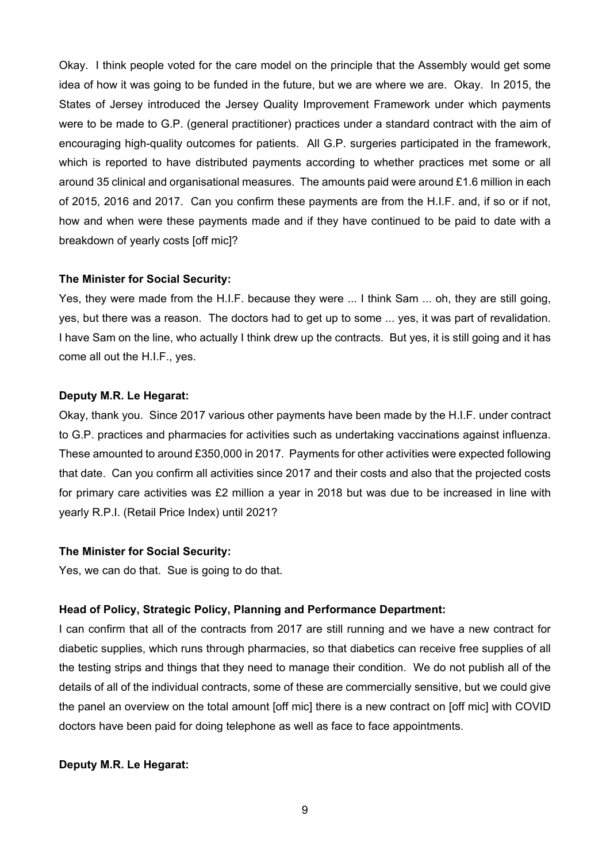Okay. I think people voted for the care model on the principle that the Assembly would get some idea of how it was going to be funded in the future, but we are where we are. Okay. In 2015, the States of Jersey introduced the Jersey Quality Improvement Framework under which payments were to be made to G.P. (general practitioner) practices under a standard contract with the aim of encouraging high-quality outcomes for patients. All G.P. surgeries participated in the framework, which is reported to have distributed payments according to whether practices met some or all around 35 clinical and organisational measures. The amounts paid were around £1.6 million in each of 2015, 2016 and 2017. Can you confirm these payments are from the H.I.F. and, if so or if not, how and when were these payments made and if they have continued to be paid to date with a breakdown of yearly costs [off mic]?

#### **The Minister for Social Security:**

Yes, they were made from the H.I.F. because they were ... I think Sam ... oh, they are still going, yes, but there was a reason. The doctors had to get up to some ... yes, it was part of revalidation. I have Sam on the line, who actually I think drew up the contracts. But yes, it is still going and it has come all out the H.I.F., yes.

#### **Deputy M.R. Le Hegarat:**

Okay, thank you. Since 2017 various other payments have been made by the H.I.F. under contract to G.P. practices and pharmacies for activities such as undertaking vaccinations against influenza. These amounted to around £350,000 in 2017. Payments for other activities were expected following that date. Can you confirm all activities since 2017 and their costs and also that the projected costs for primary care activities was £2 million a year in 2018 but was due to be increased in line with yearly R.P.I. (Retail Price Index) until 2021?

#### **The Minister for Social Security:**

Yes, we can do that. Sue is going to do that.

#### **Head of Policy, Strategic Policy, Planning and Performance Department:**

I can confirm that all of the contracts from 2017 are still running and we have a new contract for diabetic supplies, which runs through pharmacies, so that diabetics can receive free supplies of all the testing strips and things that they need to manage their condition. We do not publish all of the details of all of the individual contracts, some of these are commercially sensitive, but we could give the panel an overview on the total amount [off mic] there is a new contract on [off mic] with COVID doctors have been paid for doing telephone as well as face to face appointments.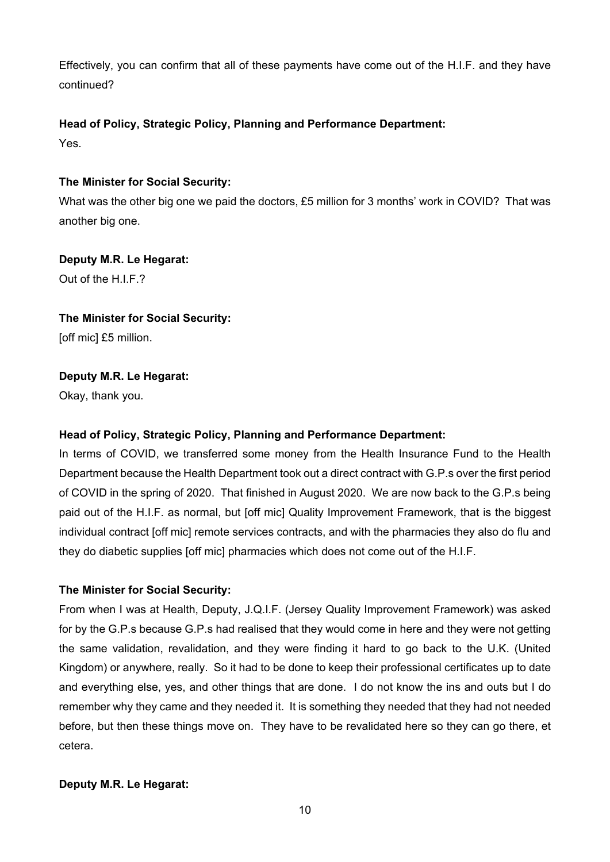Effectively, you can confirm that all of these payments have come out of the H.I.F. and they have continued?

# **Head of Policy, Strategic Policy, Planning and Performance Department:**

Yes.

# **The Minister for Social Security:**

What was the other big one we paid the doctors, £5 million for 3 months' work in COVID? That was another big one.

# **Deputy M.R. Le Hegarat:**

Out of the  $HIF.2$ 

# **The Minister for Social Security:**

[off mic] £5 million.

# **Deputy M.R. Le Hegarat:**

Okay, thank you.

# **Head of Policy, Strategic Policy, Planning and Performance Department:**

In terms of COVID, we transferred some money from the Health Insurance Fund to the Health Department because the Health Department took out a direct contract with G.P.s over the first period of COVID in the spring of 2020. That finished in August 2020. We are now back to the G.P.s being paid out of the H.I.F. as normal, but [off mic] Quality Improvement Framework, that is the biggest individual contract [off mic] remote services contracts, and with the pharmacies they also do flu and they do diabetic supplies [off mic] pharmacies which does not come out of the H.I.F.

# **The Minister for Social Security:**

From when I was at Health, Deputy, J.Q.I.F. (Jersey Quality Improvement Framework) was asked for by the G.P.s because G.P.s had realised that they would come in here and they were not getting the same validation, revalidation, and they were finding it hard to go back to the U.K. (United Kingdom) or anywhere, really. So it had to be done to keep their professional certificates up to date and everything else, yes, and other things that are done. I do not know the ins and outs but I do remember why they came and they needed it. It is something they needed that they had not needed before, but then these things move on. They have to be revalidated here so they can go there, et cetera.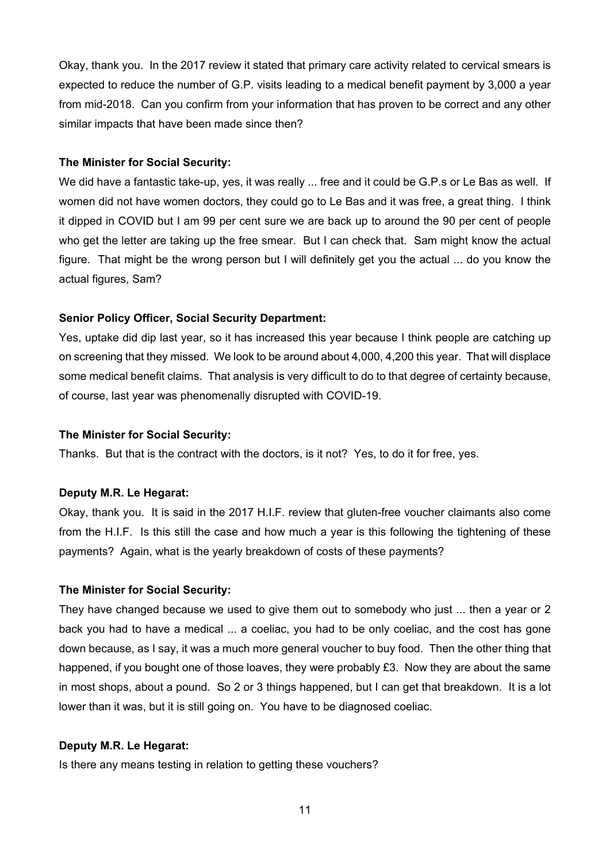Okay, thank you. In the 2017 review it stated that primary care activity related to cervical smears is expected to reduce the number of G.P. visits leading to a medical benefit payment by 3,000 a year from mid-2018. Can you confirm from your information that has proven to be correct and any other similar impacts that have been made since then?

#### **The Minister for Social Security:**

We did have a fantastic take-up, yes, it was really ... free and it could be G.P.s or Le Bas as well. If women did not have women doctors, they could go to Le Bas and it was free, a great thing. I think it dipped in COVID but I am 99 per cent sure we are back up to around the 90 per cent of people who get the letter are taking up the free smear. But I can check that. Sam might know the actual figure. That might be the wrong person but I will definitely get you the actual ... do you know the actual figures, Sam?

#### **Senior Policy Officer, Social Security Department:**

Yes, uptake did dip last year, so it has increased this year because I think people are catching up on screening that they missed. We look to be around about 4,000, 4,200 this year. That will displace some medical benefit claims. That analysis is very difficult to do to that degree of certainty because, of course, last year was phenomenally disrupted with COVID-19.

#### **The Minister for Social Security:**

Thanks. But that is the contract with the doctors, is it not? Yes, to do it for free, yes.

#### **Deputy M.R. Le Hegarat:**

Okay, thank you. It is said in the 2017 H.I.F. review that gluten-free voucher claimants also come from the H.I.F. Is this still the case and how much a year is this following the tightening of these payments? Again, what is the yearly breakdown of costs of these payments?

#### **The Minister for Social Security:**

They have changed because we used to give them out to somebody who just ... then a year or 2 back you had to have a medical ... a coeliac, you had to be only coeliac, and the cost has gone down because, as I say, it was a much more general voucher to buy food. Then the other thing that happened, if you bought one of those loaves, they were probably £3. Now they are about the same in most shops, about a pound. So 2 or 3 things happened, but I can get that breakdown. It is a lot lower than it was, but it is still going on. You have to be diagnosed coeliac.

#### **Deputy M.R. Le Hegarat:**

Is there any means testing in relation to getting these vouchers?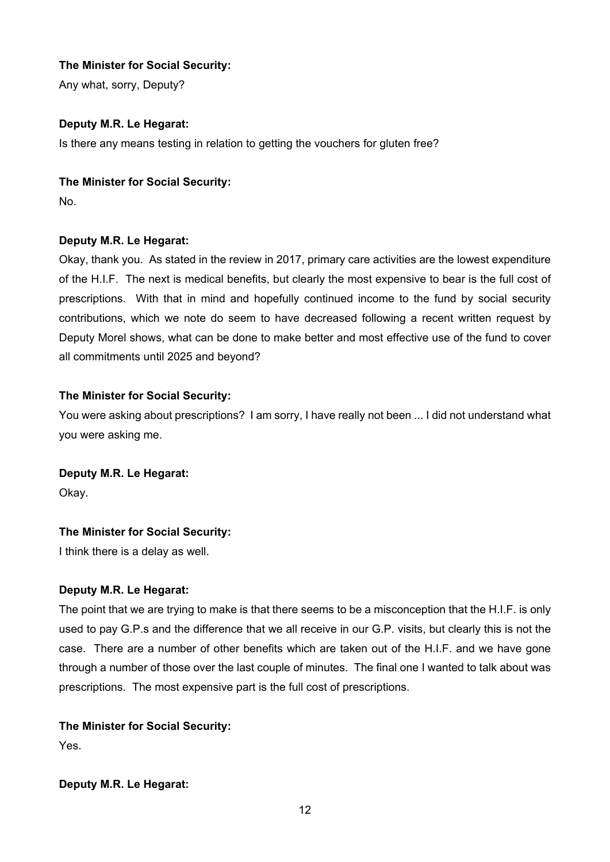# **The Minister for Social Security:**

Any what, sorry, Deputy?

# **Deputy M.R. Le Hegarat:**

Is there any means testing in relation to getting the vouchers for gluten free?

# **The Minister for Social Security:**

No.

# **Deputy M.R. Le Hegarat:**

Okay, thank you. As stated in the review in 2017, primary care activities are the lowest expenditure of the H.I.F. The next is medical benefits, but clearly the most expensive to bear is the full cost of prescriptions. With that in mind and hopefully continued income to the fund by social security contributions, which we note do seem to have decreased following a recent written request by Deputy Morel shows, what can be done to make better and most effective use of the fund to cover all commitments until 2025 and beyond?

# **The Minister for Social Security:**

You were asking about prescriptions? I am sorry, I have really not been ... I did not understand what you were asking me.

# **Deputy M.R. Le Hegarat:**

Okay.

# **The Minister for Social Security:**

I think there is a delay as well.

# **Deputy M.R. Le Hegarat:**

The point that we are trying to make is that there seems to be a misconception that the H.I.F. is only used to pay G.P.s and the difference that we all receive in our G.P. visits, but clearly this is not the case. There are a number of other benefits which are taken out of the H.I.F. and we have gone through a number of those over the last couple of minutes. The final one I wanted to talk about was prescriptions. The most expensive part is the full cost of prescriptions.

# **The Minister for Social Security:**

Yes.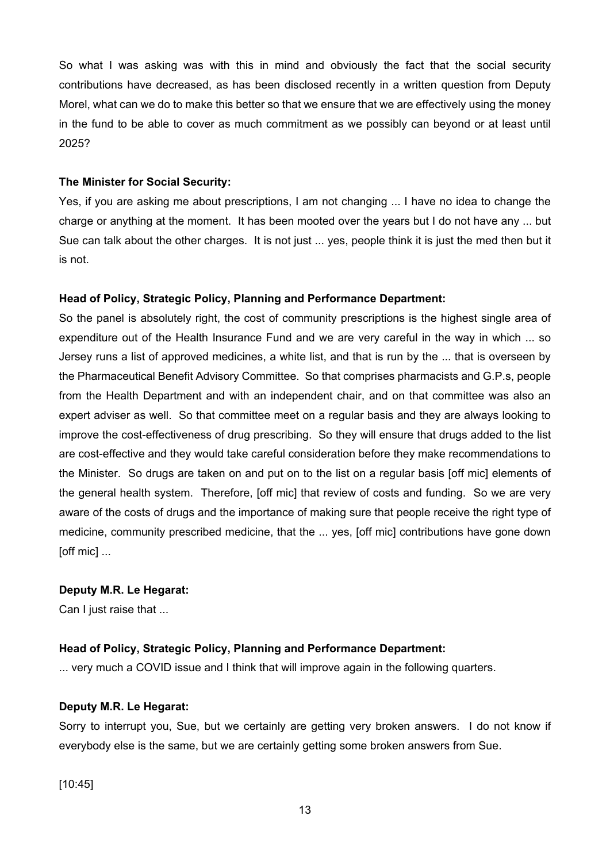So what I was asking was with this in mind and obviously the fact that the social security contributions have decreased, as has been disclosed recently in a written question from Deputy Morel, what can we do to make this better so that we ensure that we are effectively using the money in the fund to be able to cover as much commitment as we possibly can beyond or at least until 2025?

#### **The Minister for Social Security:**

Yes, if you are asking me about prescriptions, I am not changing ... I have no idea to change the charge or anything at the moment. It has been mooted over the years but I do not have any ... but Sue can talk about the other charges. It is not just ... yes, people think it is just the med then but it is not.

#### **Head of Policy, Strategic Policy, Planning and Performance Department:**

So the panel is absolutely right, the cost of community prescriptions is the highest single area of expenditure out of the Health Insurance Fund and we are very careful in the way in which ... so Jersey runs a list of approved medicines, a white list, and that is run by the ... that is overseen by the Pharmaceutical Benefit Advisory Committee. So that comprises pharmacists and G.P.s, people from the Health Department and with an independent chair, and on that committee was also an expert adviser as well. So that committee meet on a regular basis and they are always looking to improve the cost-effectiveness of drug prescribing. So they will ensure that drugs added to the list are cost-effective and they would take careful consideration before they make recommendations to the Minister. So drugs are taken on and put on to the list on a regular basis [off mic] elements of the general health system. Therefore, [off mic] that review of costs and funding. So we are very aware of the costs of drugs and the importance of making sure that people receive the right type of medicine, community prescribed medicine, that the ... yes, [off mic] contributions have gone down [off mic] ...

#### **Deputy M.R. Le Hegarat:**

Can I just raise that ...

## **Head of Policy, Strategic Policy, Planning and Performance Department:**

... very much a COVID issue and I think that will improve again in the following quarters.

## **Deputy M.R. Le Hegarat:**

Sorry to interrupt you, Sue, but we certainly are getting very broken answers. I do not know if everybody else is the same, but we are certainly getting some broken answers from Sue.

[10:45]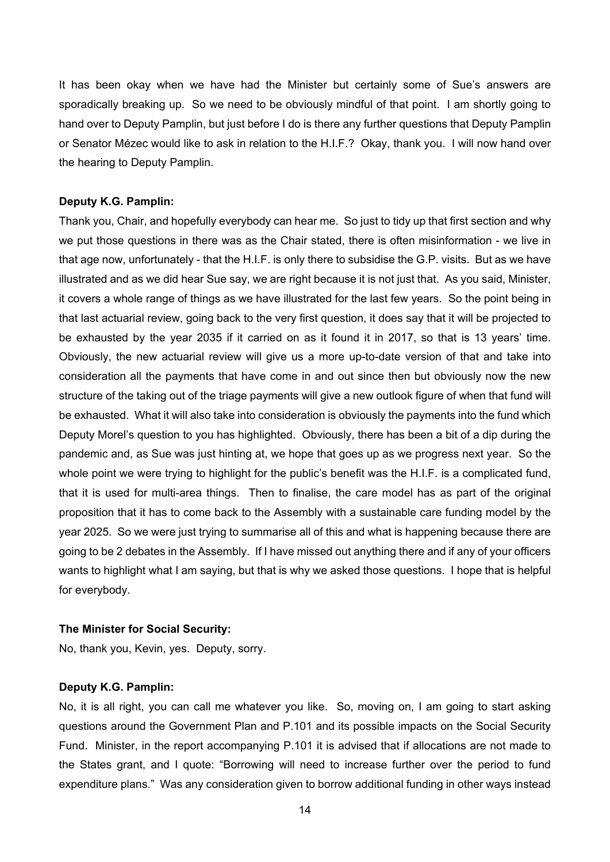It has been okay when we have had the Minister but certainly some of Sue's answers are sporadically breaking up. So we need to be obviously mindful of that point. I am shortly going to hand over to Deputy Pamplin, but just before I do is there any further questions that Deputy Pamplin or Senator Mézec would like to ask in relation to the H.I.F.? Okay, thank you. I will now hand over the hearing to Deputy Pamplin.

#### **Deputy K.G. Pamplin:**

Thank you, Chair, and hopefully everybody can hear me. So just to tidy up that first section and why we put those questions in there was as the Chair stated, there is often misinformation - we live in that age now, unfortunately - that the H.I.F. is only there to subsidise the G.P. visits. But as we have illustrated and as we did hear Sue say, we are right because it is not just that. As you said, Minister, it covers a whole range of things as we have illustrated for the last few years. So the point being in that last actuarial review, going back to the very first question, it does say that it will be projected to be exhausted by the year 2035 if it carried on as it found it in 2017, so that is 13 years' time. Obviously, the new actuarial review will give us a more up-to-date version of that and take into consideration all the payments that have come in and out since then but obviously now the new structure of the taking out of the triage payments will give a new outlook figure of when that fund will be exhausted. What it will also take into consideration is obviously the payments into the fund which Deputy Morel's question to you has highlighted. Obviously, there has been a bit of a dip during the pandemic and, as Sue was just hinting at, we hope that goes up as we progress next year. So the whole point we were trying to highlight for the public's benefit was the H.I.F. is a complicated fund, that it is used for multi-area things. Then to finalise, the care model has as part of the original proposition that it has to come back to the Assembly with a sustainable care funding model by the year 2025. So we were just trying to summarise all of this and what is happening because there are going to be 2 debates in the Assembly. If I have missed out anything there and if any of your officers wants to highlight what I am saying, but that is why we asked those questions. I hope that is helpful for everybody.

#### **The Minister for Social Security:**

No, thank you, Kevin, yes. Deputy, sorry.

#### **Deputy K.G. Pamplin:**

No, it is all right, you can call me whatever you like. So, moving on, I am going to start asking questions around the Government Plan and P.101 and its possible impacts on the Social Security Fund. Minister, in the report accompanying P.101 it is advised that if allocations are not made to the States grant, and I quote: "Borrowing will need to increase further over the period to fund expenditure plans." Was any consideration given to borrow additional funding in other ways instead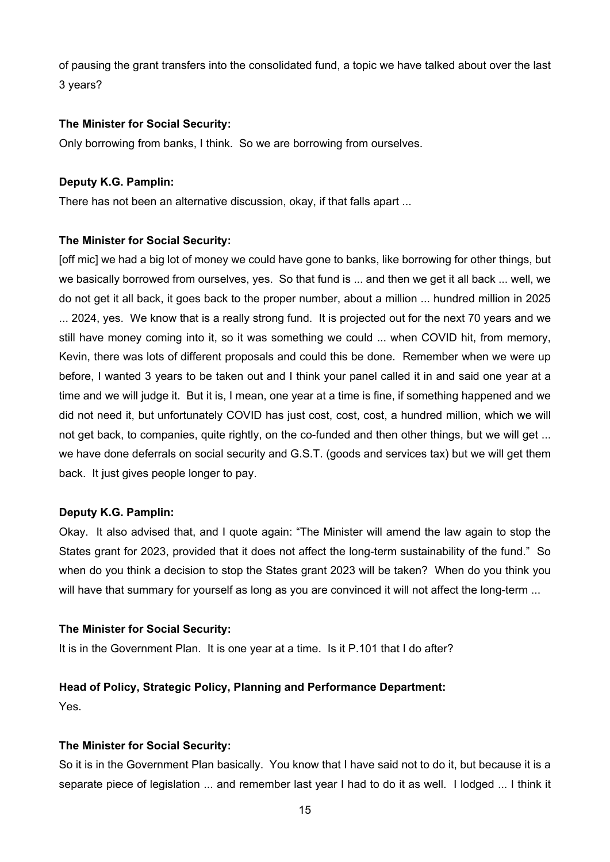of pausing the grant transfers into the consolidated fund, a topic we have talked about over the last 3 years?

#### **The Minister for Social Security:**

Only borrowing from banks, I think. So we are borrowing from ourselves.

#### **Deputy K.G. Pamplin:**

There has not been an alternative discussion, okay, if that falls apart ...

#### **The Minister for Social Security:**

[off mic] we had a big lot of money we could have gone to banks, like borrowing for other things, but we basically borrowed from ourselves, yes. So that fund is ... and then we get it all back ... well, we do not get it all back, it goes back to the proper number, about a million ... hundred million in 2025 ... 2024, yes. We know that is a really strong fund. It is projected out for the next 70 years and we still have money coming into it, so it was something we could ... when COVID hit, from memory, Kevin, there was lots of different proposals and could this be done. Remember when we were up before, I wanted 3 years to be taken out and I think your panel called it in and said one year at a time and we will judge it. But it is, I mean, one year at a time is fine, if something happened and we did not need it, but unfortunately COVID has just cost, cost, cost, a hundred million, which we will not get back, to companies, quite rightly, on the co-funded and then other things, but we will get ... we have done deferrals on social security and G.S.T. (goods and services tax) but we will get them back. It just gives people longer to pay.

#### **Deputy K.G. Pamplin:**

Okay. It also advised that, and I quote again: "The Minister will amend the law again to stop the States grant for 2023, provided that it does not affect the long-term sustainability of the fund." So when do you think a decision to stop the States grant 2023 will be taken? When do you think you will have that summary for yourself as long as you are convinced it will not affect the long-term ...

#### **The Minister for Social Security:**

It is in the Government Plan. It is one year at a time. Is it P.101 that I do after?

## **Head of Policy, Strategic Policy, Planning and Performance Department:**

Yes.

## **The Minister for Social Security:**

So it is in the Government Plan basically. You know that I have said not to do it, but because it is a separate piece of legislation ... and remember last year I had to do it as well. I lodged ... I think it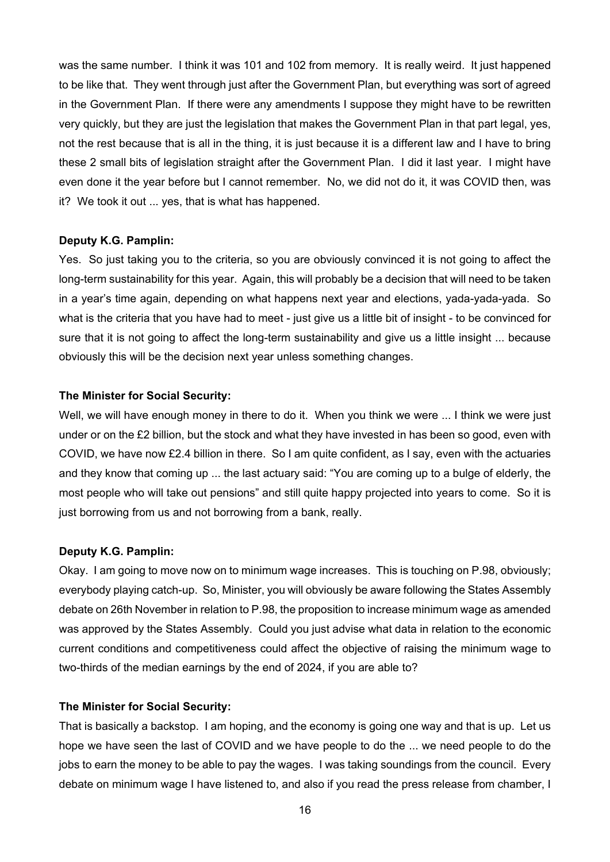was the same number. I think it was 101 and 102 from memory. It is really weird. It just happened to be like that. They went through just after the Government Plan, but everything was sort of agreed in the Government Plan. If there were any amendments I suppose they might have to be rewritten very quickly, but they are just the legislation that makes the Government Plan in that part legal, yes, not the rest because that is all in the thing, it is just because it is a different law and I have to bring these 2 small bits of legislation straight after the Government Plan. I did it last year. I might have even done it the year before but I cannot remember. No, we did not do it, it was COVID then, was it? We took it out ... yes, that is what has happened.

#### **Deputy K.G. Pamplin:**

Yes. So just taking you to the criteria, so you are obviously convinced it is not going to affect the long-term sustainability for this year. Again, this will probably be a decision that will need to be taken in a year's time again, depending on what happens next year and elections, yada-yada-yada. So what is the criteria that you have had to meet - just give us a little bit of insight - to be convinced for sure that it is not going to affect the long-term sustainability and give us a little insight ... because obviously this will be the decision next year unless something changes.

#### **The Minister for Social Security:**

Well, we will have enough money in there to do it. When you think we were ... I think we were just under or on the £2 billion, but the stock and what they have invested in has been so good, even with COVID, we have now £2.4 billion in there. So I am quite confident, as I say, even with the actuaries and they know that coming up ... the last actuary said: "You are coming up to a bulge of elderly, the most people who will take out pensions" and still quite happy projected into years to come. So it is just borrowing from us and not borrowing from a bank, really.

#### **Deputy K.G. Pamplin:**

Okay. I am going to move now on to minimum wage increases. This is touching on P.98, obviously; everybody playing catch-up. So, Minister, you will obviously be aware following the States Assembly debate on 26th November in relation to P.98, the proposition to increase minimum wage as amended was approved by the States Assembly. Could you just advise what data in relation to the economic current conditions and competitiveness could affect the objective of raising the minimum wage to two-thirds of the median earnings by the end of 2024, if you are able to?

#### **The Minister for Social Security:**

That is basically a backstop. I am hoping, and the economy is going one way and that is up. Let us hope we have seen the last of COVID and we have people to do the ... we need people to do the jobs to earn the money to be able to pay the wages. I was taking soundings from the council. Every debate on minimum wage I have listened to, and also if you read the press release from chamber, I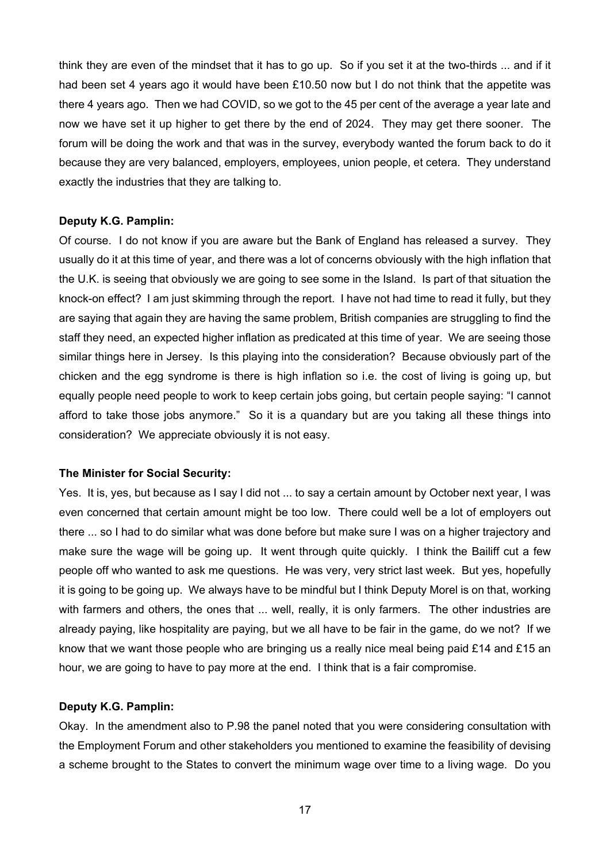think they are even of the mindset that it has to go up. So if you set it at the two-thirds ... and if it had been set 4 years ago it would have been £10.50 now but I do not think that the appetite was there 4 years ago. Then we had COVID, so we got to the 45 per cent of the average a year late and now we have set it up higher to get there by the end of 2024. They may get there sooner. The forum will be doing the work and that was in the survey, everybody wanted the forum back to do it because they are very balanced, employers, employees, union people, et cetera. They understand exactly the industries that they are talking to.

#### **Deputy K.G. Pamplin:**

Of course. I do not know if you are aware but the Bank of England has released a survey. They usually do it at this time of year, and there was a lot of concerns obviously with the high inflation that the U.K. is seeing that obviously we are going to see some in the Island. Is part of that situation the knock-on effect? I am just skimming through the report. I have not had time to read it fully, but they are saying that again they are having the same problem, British companies are struggling to find the staff they need, an expected higher inflation as predicated at this time of year. We are seeing those similar things here in Jersey. Is this playing into the consideration? Because obviously part of the chicken and the egg syndrome is there is high inflation so i.e. the cost of living is going up, but equally people need people to work to keep certain jobs going, but certain people saying: "I cannot afford to take those jobs anymore." So it is a quandary but are you taking all these things into consideration? We appreciate obviously it is not easy.

#### **The Minister for Social Security:**

Yes. It is, yes, but because as I say I did not ... to say a certain amount by October next year, I was even concerned that certain amount might be too low. There could well be a lot of employers out there ... so I had to do similar what was done before but make sure I was on a higher trajectory and make sure the wage will be going up. It went through quite quickly. I think the Bailiff cut a few people off who wanted to ask me questions. He was very, very strict last week. But yes, hopefully it is going to be going up. We always have to be mindful but I think Deputy Morel is on that, working with farmers and others, the ones that ... well, really, it is only farmers. The other industries are already paying, like hospitality are paying, but we all have to be fair in the game, do we not? If we know that we want those people who are bringing us a really nice meal being paid £14 and £15 an hour, we are going to have to pay more at the end. I think that is a fair compromise.

#### **Deputy K.G. Pamplin:**

Okay. In the amendment also to P.98 the panel noted that you were considering consultation with the Employment Forum and other stakeholders you mentioned to examine the feasibility of devising a scheme brought to the States to convert the minimum wage over time to a living wage. Do you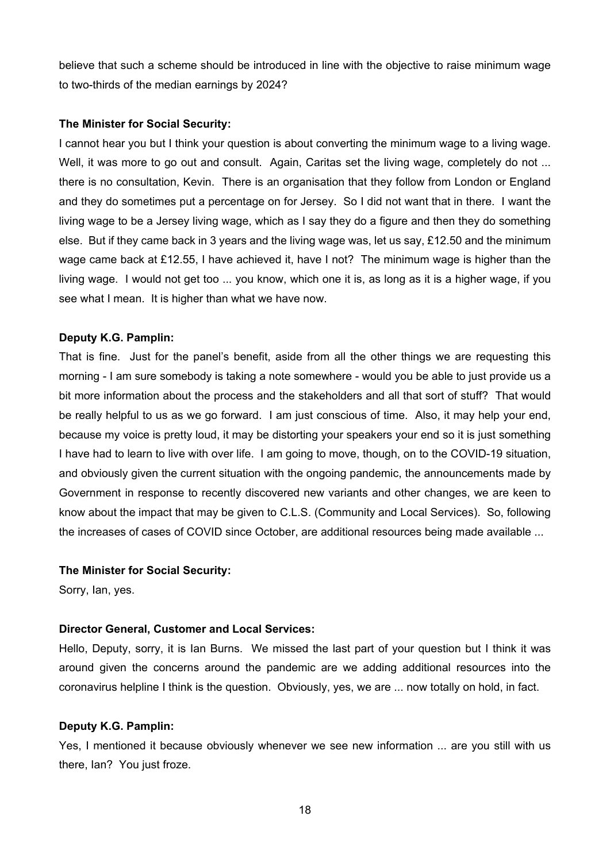believe that such a scheme should be introduced in line with the objective to raise minimum wage to two-thirds of the median earnings by 2024?

#### **The Minister for Social Security:**

I cannot hear you but I think your question is about converting the minimum wage to a living wage. Well, it was more to go out and consult. Again, Caritas set the living wage, completely do not ... there is no consultation, Kevin. There is an organisation that they follow from London or England and they do sometimes put a percentage on for Jersey. So I did not want that in there. I want the living wage to be a Jersey living wage, which as I say they do a figure and then they do something else. But if they came back in 3 years and the living wage was, let us say, £12.50 and the minimum wage came back at £12.55, I have achieved it, have I not? The minimum wage is higher than the living wage. I would not get too ... you know, which one it is, as long as it is a higher wage, if you see what I mean. It is higher than what we have now.

#### **Deputy K.G. Pamplin:**

That is fine. Just for the panel's benefit, aside from all the other things we are requesting this morning - I am sure somebody is taking a note somewhere - would you be able to just provide us a bit more information about the process and the stakeholders and all that sort of stuff? That would be really helpful to us as we go forward. I am just conscious of time. Also, it may help your end, because my voice is pretty loud, it may be distorting your speakers your end so it is just something I have had to learn to live with over life. I am going to move, though, on to the COVID-19 situation, and obviously given the current situation with the ongoing pandemic, the announcements made by Government in response to recently discovered new variants and other changes, we are keen to know about the impact that may be given to C.L.S. (Community and Local Services). So, following the increases of cases of COVID since October, are additional resources being made available ...

#### **The Minister for Social Security:**

Sorry, Ian, yes.

#### **Director General, Customer and Local Services:**

Hello, Deputy, sorry, it is Ian Burns. We missed the last part of your question but I think it was around given the concerns around the pandemic are we adding additional resources into the coronavirus helpline I think is the question. Obviously, yes, we are ... now totally on hold, in fact.

#### **Deputy K.G. Pamplin:**

Yes, I mentioned it because obviously whenever we see new information ... are you still with us there, Ian? You just froze.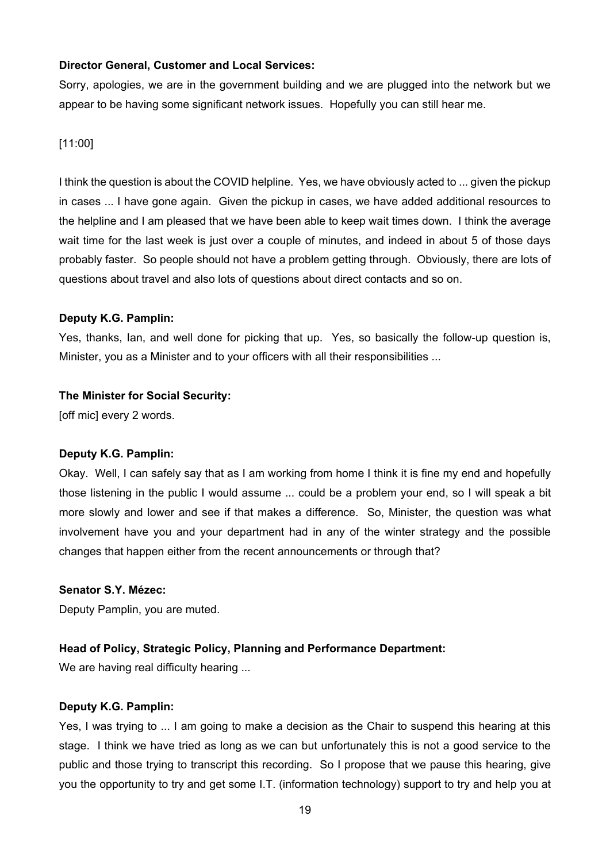#### **Director General, Customer and Local Services:**

Sorry, apologies, we are in the government building and we are plugged into the network but we appear to be having some significant network issues. Hopefully you can still hear me.

#### [11:00]

I think the question is about the COVID helpline. Yes, we have obviously acted to ... given the pickup in cases ... I have gone again. Given the pickup in cases, we have added additional resources to the helpline and I am pleased that we have been able to keep wait times down. I think the average wait time for the last week is just over a couple of minutes, and indeed in about 5 of those days probably faster. So people should not have a problem getting through. Obviously, there are lots of questions about travel and also lots of questions about direct contacts and so on.

#### **Deputy K.G. Pamplin:**

Yes, thanks, Ian, and well done for picking that up. Yes, so basically the follow-up question is, Minister, you as a Minister and to your officers with all their responsibilities ...

#### **The Minister for Social Security:**

[off mic] every 2 words.

## **Deputy K.G. Pamplin:**

Okay. Well, I can safely say that as I am working from home I think it is fine my end and hopefully those listening in the public I would assume ... could be a problem your end, so I will speak a bit more slowly and lower and see if that makes a difference. So, Minister, the question was what involvement have you and your department had in any of the winter strategy and the possible changes that happen either from the recent announcements or through that?

#### **Senator S.Y. Mézec:**

Deputy Pamplin, you are muted.

## **Head of Policy, Strategic Policy, Planning and Performance Department:**

We are having real difficulty hearing ...

#### **Deputy K.G. Pamplin:**

Yes, I was trying to ... I am going to make a decision as the Chair to suspend this hearing at this stage. I think we have tried as long as we can but unfortunately this is not a good service to the public and those trying to transcript this recording. So I propose that we pause this hearing, give you the opportunity to try and get some I.T. (information technology) support to try and help you at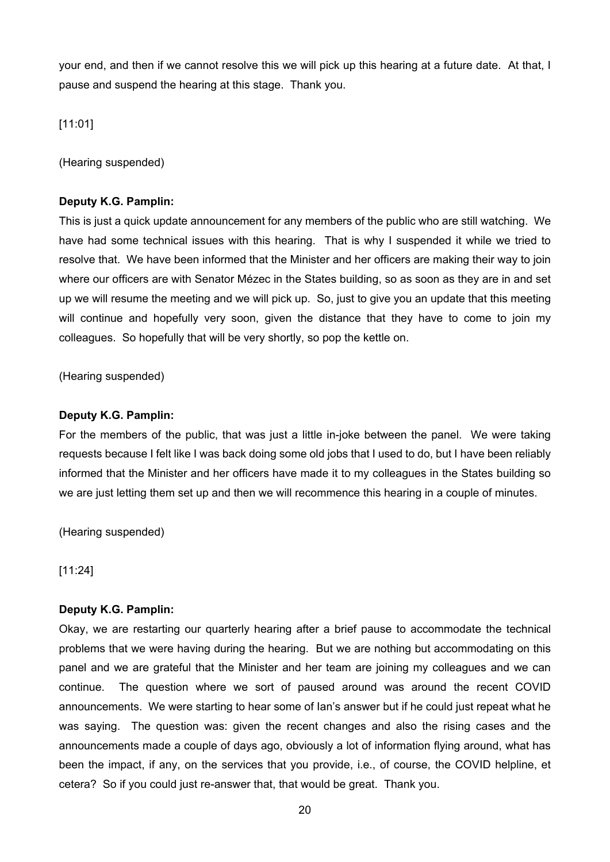your end, and then if we cannot resolve this we will pick up this hearing at a future date. At that, I pause and suspend the hearing at this stage. Thank you.

[11:01]

(Hearing suspended)

# **Deputy K.G. Pamplin:**

This is just a quick update announcement for any members of the public who are still watching. We have had some technical issues with this hearing. That is why I suspended it while we tried to resolve that. We have been informed that the Minister and her officers are making their way to join where our officers are with Senator Mézec in the States building, so as soon as they are in and set up we will resume the meeting and we will pick up. So, just to give you an update that this meeting will continue and hopefully very soon, given the distance that they have to come to join my colleagues. So hopefully that will be very shortly, so pop the kettle on.

(Hearing suspended)

## **Deputy K.G. Pamplin:**

For the members of the public, that was just a little in-joke between the panel. We were taking requests because I felt like I was back doing some old jobs that I used to do, but I have been reliably informed that the Minister and her officers have made it to my colleagues in the States building so we are just letting them set up and then we will recommence this hearing in a couple of minutes.

(Hearing suspended)

[11:24]

## **Deputy K.G. Pamplin:**

Okay, we are restarting our quarterly hearing after a brief pause to accommodate the technical problems that we were having during the hearing. But we are nothing but accommodating on this panel and we are grateful that the Minister and her team are joining my colleagues and we can continue. The question where we sort of paused around was around the recent COVID announcements. We were starting to hear some of Ian's answer but if he could just repeat what he was saying. The question was: given the recent changes and also the rising cases and the announcements made a couple of days ago, obviously a lot of information flying around, what has been the impact, if any, on the services that you provide, i.e., of course, the COVID helpline, et cetera? So if you could just re-answer that, that would be great. Thank you.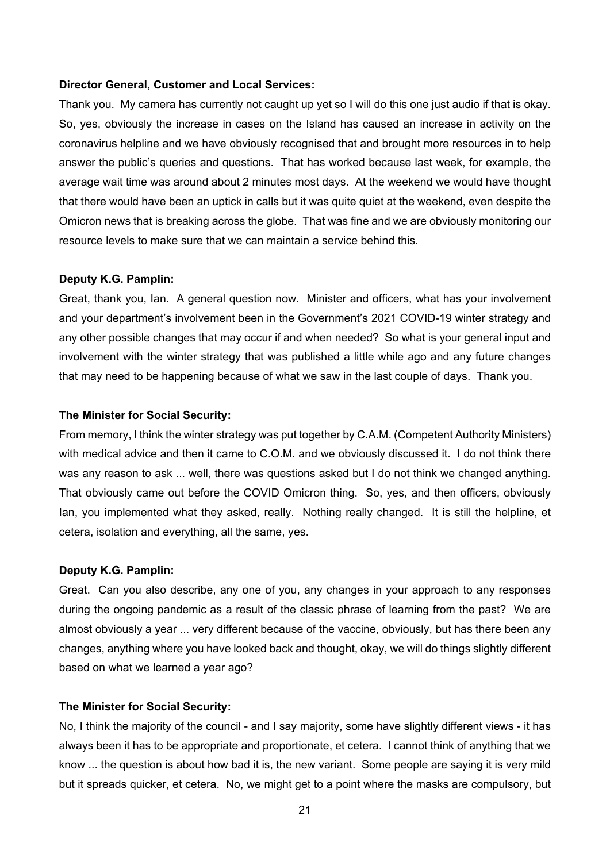#### **Director General, Customer and Local Services:**

Thank you. My camera has currently not caught up yet so I will do this one just audio if that is okay. So, yes, obviously the increase in cases on the Island has caused an increase in activity on the coronavirus helpline and we have obviously recognised that and brought more resources in to help answer the public's queries and questions. That has worked because last week, for example, the average wait time was around about 2 minutes most days. At the weekend we would have thought that there would have been an uptick in calls but it was quite quiet at the weekend, even despite the Omicron news that is breaking across the globe. That was fine and we are obviously monitoring our resource levels to make sure that we can maintain a service behind this.

#### **Deputy K.G. Pamplin:**

Great, thank you, Ian. A general question now. Minister and officers, what has your involvement and your department's involvement been in the Government's 2021 COVID-19 winter strategy and any other possible changes that may occur if and when needed? So what is your general input and involvement with the winter strategy that was published a little while ago and any future changes that may need to be happening because of what we saw in the last couple of days. Thank you.

#### **The Minister for Social Security:**

From memory, I think the winter strategy was put together by C.A.M. (Competent Authority Ministers) with medical advice and then it came to C.O.M. and we obviously discussed it. I do not think there was any reason to ask ... well, there was questions asked but I do not think we changed anything. That obviously came out before the COVID Omicron thing. So, yes, and then officers, obviously Ian, you implemented what they asked, really. Nothing really changed. It is still the helpline, et cetera, isolation and everything, all the same, yes.

#### **Deputy K.G. Pamplin:**

Great. Can you also describe, any one of you, any changes in your approach to any responses during the ongoing pandemic as a result of the classic phrase of learning from the past? We are almost obviously a year ... very different because of the vaccine, obviously, but has there been any changes, anything where you have looked back and thought, okay, we will do things slightly different based on what we learned a year ago?

#### **The Minister for Social Security:**

No, I think the majority of the council - and I say majority, some have slightly different views - it has always been it has to be appropriate and proportionate, et cetera. I cannot think of anything that we know ... the question is about how bad it is, the new variant. Some people are saying it is very mild but it spreads quicker, et cetera. No, we might get to a point where the masks are compulsory, but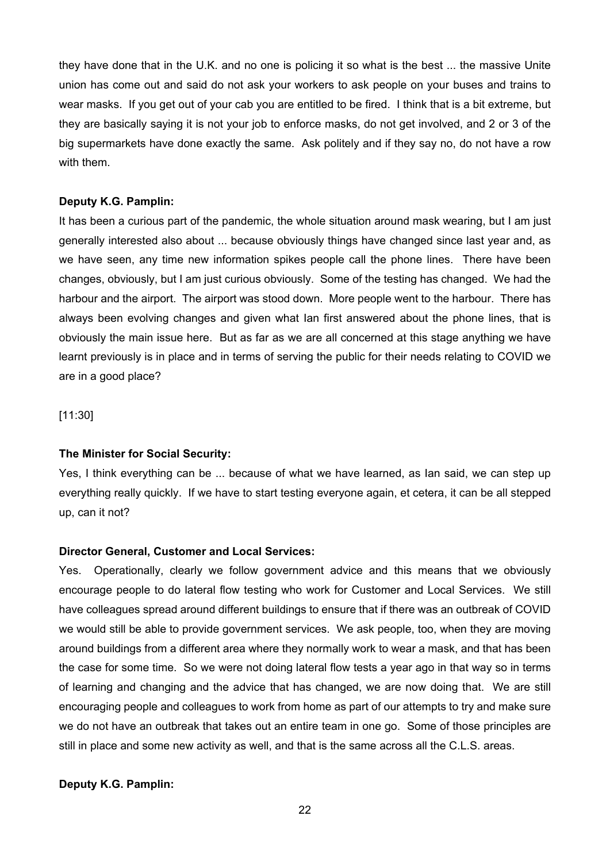they have done that in the U.K. and no one is policing it so what is the best ... the massive Unite union has come out and said do not ask your workers to ask people on your buses and trains to wear masks. If you get out of your cab you are entitled to be fired. I think that is a bit extreme, but they are basically saying it is not your job to enforce masks, do not get involved, and 2 or 3 of the big supermarkets have done exactly the same. Ask politely and if they say no, do not have a row with them.

#### **Deputy K.G. Pamplin:**

It has been a curious part of the pandemic, the whole situation around mask wearing, but I am just generally interested also about ... because obviously things have changed since last year and, as we have seen, any time new information spikes people call the phone lines. There have been changes, obviously, but I am just curious obviously. Some of the testing has changed. We had the harbour and the airport. The airport was stood down. More people went to the harbour. There has always been evolving changes and given what Ian first answered about the phone lines, that is obviously the main issue here. But as far as we are all concerned at this stage anything we have learnt previously is in place and in terms of serving the public for their needs relating to COVID we are in a good place?

[11:30]

#### **The Minister for Social Security:**

Yes, I think everything can be ... because of what we have learned, as Ian said, we can step up everything really quickly. If we have to start testing everyone again, et cetera, it can be all stepped up, can it not?

#### **Director General, Customer and Local Services:**

Yes. Operationally, clearly we follow government advice and this means that we obviously encourage people to do lateral flow testing who work for Customer and Local Services. We still have colleagues spread around different buildings to ensure that if there was an outbreak of COVID we would still be able to provide government services. We ask people, too, when they are moving around buildings from a different area where they normally work to wear a mask, and that has been the case for some time. So we were not doing lateral flow tests a year ago in that way so in terms of learning and changing and the advice that has changed, we are now doing that. We are still encouraging people and colleagues to work from home as part of our attempts to try and make sure we do not have an outbreak that takes out an entire team in one go. Some of those principles are still in place and some new activity as well, and that is the same across all the C.L.S. areas.

## **Deputy K.G. Pamplin:**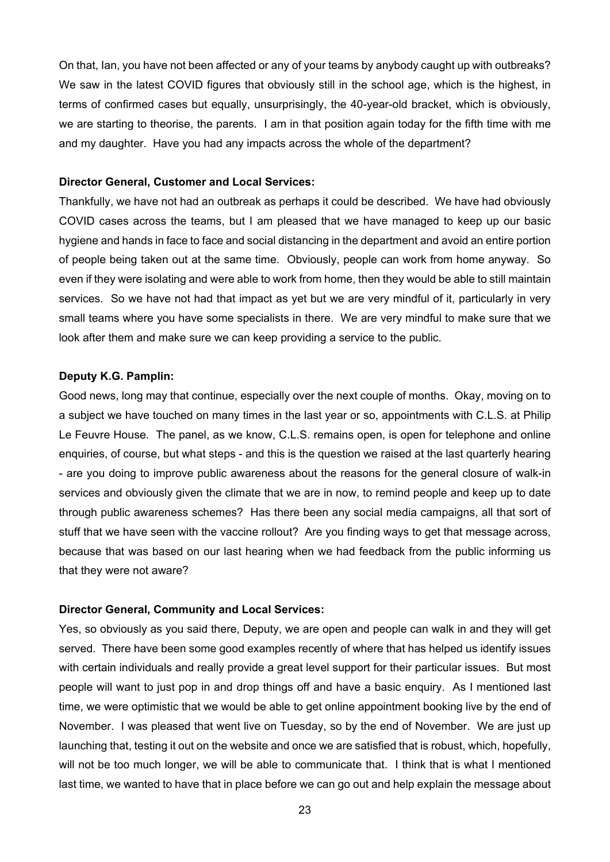On that, Ian, you have not been affected or any of your teams by anybody caught up with outbreaks? We saw in the latest COVID figures that obviously still in the school age, which is the highest, in terms of confirmed cases but equally, unsurprisingly, the 40-year-old bracket, which is obviously, we are starting to theorise, the parents. I am in that position again today for the fifth time with me and my daughter. Have you had any impacts across the whole of the department?

#### **Director General, Customer and Local Services:**

Thankfully, we have not had an outbreak as perhaps it could be described. We have had obviously COVID cases across the teams, but I am pleased that we have managed to keep up our basic hygiene and hands in face to face and social distancing in the department and avoid an entire portion of people being taken out at the same time. Obviously, people can work from home anyway. So even if they were isolating and were able to work from home, then they would be able to still maintain services. So we have not had that impact as yet but we are very mindful of it, particularly in very small teams where you have some specialists in there. We are very mindful to make sure that we look after them and make sure we can keep providing a service to the public.

#### **Deputy K.G. Pamplin:**

Good news, long may that continue, especially over the next couple of months. Okay, moving on to a subject we have touched on many times in the last year or so, appointments with C.L.S. at Philip Le Feuvre House. The panel, as we know, C.L.S. remains open, is open for telephone and online enquiries, of course, but what steps - and this is the question we raised at the last quarterly hearing - are you doing to improve public awareness about the reasons for the general closure of walk-in services and obviously given the climate that we are in now, to remind people and keep up to date through public awareness schemes? Has there been any social media campaigns, all that sort of stuff that we have seen with the vaccine rollout? Are you finding ways to get that message across, because that was based on our last hearing when we had feedback from the public informing us that they were not aware?

#### **Director General, Community and Local Services:**

Yes, so obviously as you said there, Deputy, we are open and people can walk in and they will get served. There have been some good examples recently of where that has helped us identify issues with certain individuals and really provide a great level support for their particular issues. But most people will want to just pop in and drop things off and have a basic enquiry. As I mentioned last time, we were optimistic that we would be able to get online appointment booking live by the end of November. I was pleased that went live on Tuesday, so by the end of November. We are just up launching that, testing it out on the website and once we are satisfied that is robust, which, hopefully, will not be too much longer, we will be able to communicate that. I think that is what I mentioned last time, we wanted to have that in place before we can go out and help explain the message about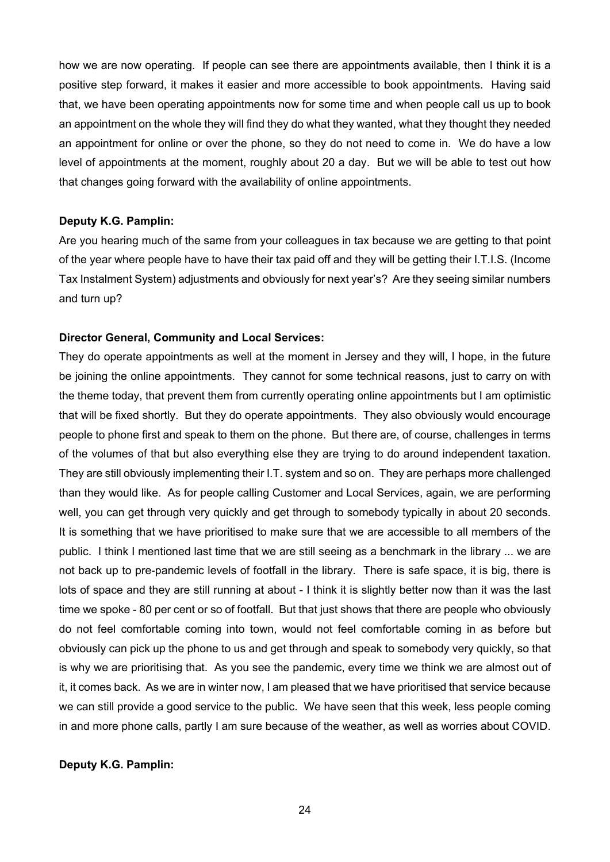how we are now operating. If people can see there are appointments available, then I think it is a positive step forward, it makes it easier and more accessible to book appointments. Having said that, we have been operating appointments now for some time and when people call us up to book an appointment on the whole they will find they do what they wanted, what they thought they needed an appointment for online or over the phone, so they do not need to come in. We do have a low level of appointments at the moment, roughly about 20 a day. But we will be able to test out how that changes going forward with the availability of online appointments.

#### **Deputy K.G. Pamplin:**

Are you hearing much of the same from your colleagues in tax because we are getting to that point of the year where people have to have their tax paid off and they will be getting their I.T.I.S. (Income Tax Instalment System) adjustments and obviously for next year's? Are they seeing similar numbers and turn up?

#### **Director General, Community and Local Services:**

They do operate appointments as well at the moment in Jersey and they will, I hope, in the future be joining the online appointments. They cannot for some technical reasons, just to carry on with the theme today, that prevent them from currently operating online appointments but I am optimistic that will be fixed shortly. But they do operate appointments. They also obviously would encourage people to phone first and speak to them on the phone. But there are, of course, challenges in terms of the volumes of that but also everything else they are trying to do around independent taxation. They are still obviously implementing their I.T. system and so on. They are perhaps more challenged than they would like. As for people calling Customer and Local Services, again, we are performing well, you can get through very quickly and get through to somebody typically in about 20 seconds. It is something that we have prioritised to make sure that we are accessible to all members of the public. I think I mentioned last time that we are still seeing as a benchmark in the library ... we are not back up to pre-pandemic levels of footfall in the library. There is safe space, it is big, there is lots of space and they are still running at about - I think it is slightly better now than it was the last time we spoke - 80 per cent or so of footfall. But that just shows that there are people who obviously do not feel comfortable coming into town, would not feel comfortable coming in as before but obviously can pick up the phone to us and get through and speak to somebody very quickly, so that is why we are prioritising that. As you see the pandemic, every time we think we are almost out of it, it comes back. As we are in winter now, I am pleased that we have prioritised that service because we can still provide a good service to the public. We have seen that this week, less people coming in and more phone calls, partly I am sure because of the weather, as well as worries about COVID.

#### **Deputy K.G. Pamplin:**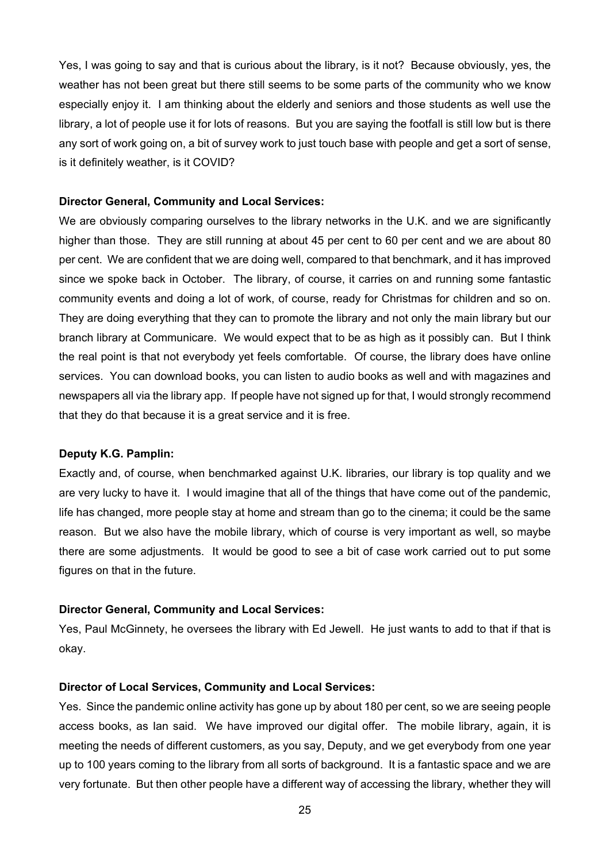Yes, I was going to say and that is curious about the library, is it not? Because obviously, yes, the weather has not been great but there still seems to be some parts of the community who we know especially enjoy it. I am thinking about the elderly and seniors and those students as well use the library, a lot of people use it for lots of reasons. But you are saying the footfall is still low but is there any sort of work going on, a bit of survey work to just touch base with people and get a sort of sense, is it definitely weather, is it COVID?

#### **Director General, Community and Local Services:**

We are obviously comparing ourselves to the library networks in the U.K. and we are significantly higher than those. They are still running at about 45 per cent to 60 per cent and we are about 80 per cent. We are confident that we are doing well, compared to that benchmark, and it has improved since we spoke back in October. The library, of course, it carries on and running some fantastic community events and doing a lot of work, of course, ready for Christmas for children and so on. They are doing everything that they can to promote the library and not only the main library but our branch library at Communicare. We would expect that to be as high as it possibly can. But I think the real point is that not everybody yet feels comfortable. Of course, the library does have online services. You can download books, you can listen to audio books as well and with magazines and newspapers all via the library app. If people have not signed up for that, I would strongly recommend that they do that because it is a great service and it is free.

#### **Deputy K.G. Pamplin:**

Exactly and, of course, when benchmarked against U.K. libraries, our library is top quality and we are very lucky to have it. I would imagine that all of the things that have come out of the pandemic, life has changed, more people stay at home and stream than go to the cinema; it could be the same reason. But we also have the mobile library, which of course is very important as well, so maybe there are some adjustments. It would be good to see a bit of case work carried out to put some figures on that in the future.

#### **Director General, Community and Local Services:**

Yes, Paul McGinnety, he oversees the library with Ed Jewell. He just wants to add to that if that is okay.

#### **Director of Local Services, Community and Local Services:**

Yes. Since the pandemic online activity has gone up by about 180 per cent, so we are seeing people access books, as Ian said. We have improved our digital offer. The mobile library, again, it is meeting the needs of different customers, as you say, Deputy, and we get everybody from one year up to 100 years coming to the library from all sorts of background. It is a fantastic space and we are very fortunate. But then other people have a different way of accessing the library, whether they will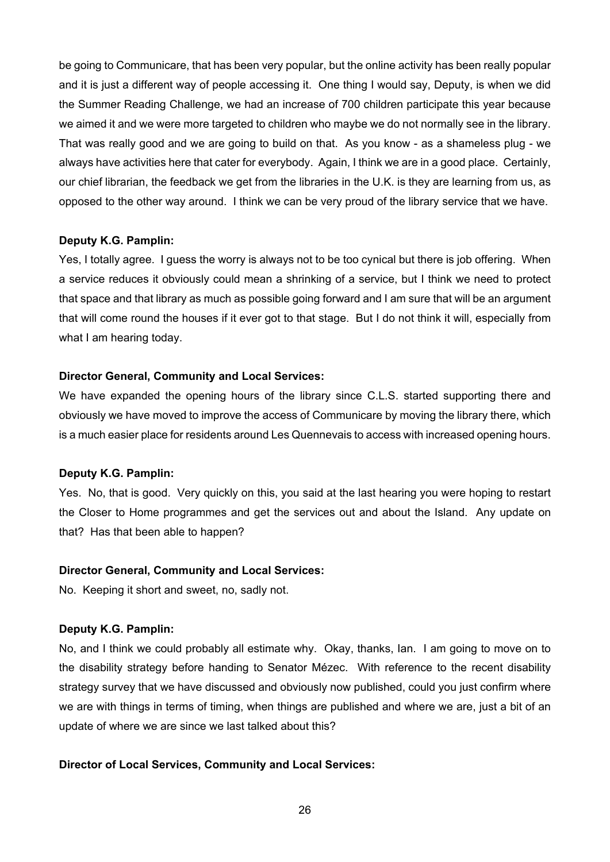be going to Communicare, that has been very popular, but the online activity has been really popular and it is just a different way of people accessing it. One thing I would say, Deputy, is when we did the Summer Reading Challenge, we had an increase of 700 children participate this year because we aimed it and we were more targeted to children who maybe we do not normally see in the library. That was really good and we are going to build on that. As you know - as a shameless plug - we always have activities here that cater for everybody. Again, I think we are in a good place. Certainly, our chief librarian, the feedback we get from the libraries in the U.K. is they are learning from us, as opposed to the other way around. I think we can be very proud of the library service that we have.

#### **Deputy K.G. Pamplin:**

Yes, I totally agree. I guess the worry is always not to be too cynical but there is job offering. When a service reduces it obviously could mean a shrinking of a service, but I think we need to protect that space and that library as much as possible going forward and I am sure that will be an argument that will come round the houses if it ever got to that stage. But I do not think it will, especially from what I am hearing today.

#### **Director General, Community and Local Services:**

We have expanded the opening hours of the library since C.L.S. started supporting there and obviously we have moved to improve the access of Communicare by moving the library there, which is a much easier place for residents around Les Quennevais to access with increased opening hours.

#### **Deputy K.G. Pamplin:**

Yes. No, that is good. Very quickly on this, you said at the last hearing you were hoping to restart the Closer to Home programmes and get the services out and about the Island. Any update on that? Has that been able to happen?

#### **Director General, Community and Local Services:**

No. Keeping it short and sweet, no, sadly not.

## **Deputy K.G. Pamplin:**

No, and I think we could probably all estimate why. Okay, thanks, Ian. I am going to move on to the disability strategy before handing to Senator Mézec. With reference to the recent disability strategy survey that we have discussed and obviously now published, could you just confirm where we are with things in terms of timing, when things are published and where we are, just a bit of an update of where we are since we last talked about this?

## **Director of Local Services, Community and Local Services:**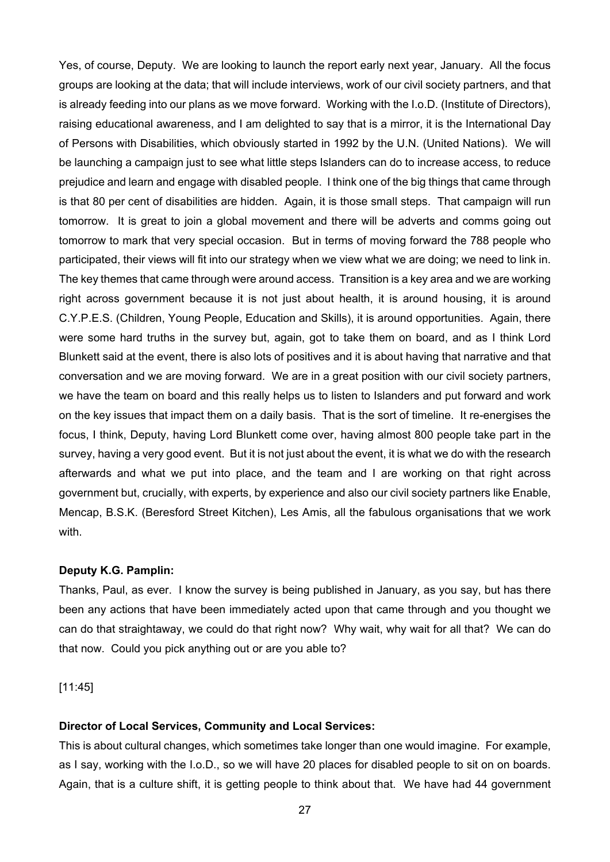Yes, of course, Deputy. We are looking to launch the report early next year, January. All the focus groups are looking at the data; that will include interviews, work of our civil society partners, and that is already feeding into our plans as we move forward. Working with the I.o.D. (Institute of Directors), raising educational awareness, and I am delighted to say that is a mirror, it is the International Day of Persons with Disabilities, which obviously started in 1992 by the U.N. (United Nations). We will be launching a campaign just to see what little steps Islanders can do to increase access, to reduce prejudice and learn and engage with disabled people. I think one of the big things that came through is that 80 per cent of disabilities are hidden. Again, it is those small steps. That campaign will run tomorrow. It is great to join a global movement and there will be adverts and comms going out tomorrow to mark that very special occasion. But in terms of moving forward the 788 people who participated, their views will fit into our strategy when we view what we are doing; we need to link in. The key themes that came through were around access. Transition is a key area and we are working right across government because it is not just about health, it is around housing, it is around C.Y.P.E.S. (Children, Young People, Education and Skills), it is around opportunities. Again, there were some hard truths in the survey but, again, got to take them on board, and as I think Lord Blunkett said at the event, there is also lots of positives and it is about having that narrative and that conversation and we are moving forward. We are in a great position with our civil society partners, we have the team on board and this really helps us to listen to Islanders and put forward and work on the key issues that impact them on a daily basis. That is the sort of timeline. It re-energises the focus, I think, Deputy, having Lord Blunkett come over, having almost 800 people take part in the survey, having a very good event. But it is not just about the event, it is what we do with the research afterwards and what we put into place, and the team and I are working on that right across government but, crucially, with experts, by experience and also our civil society partners like Enable, Mencap, B.S.K. (Beresford Street Kitchen), Les Amis, all the fabulous organisations that we work with.

#### **Deputy K.G. Pamplin:**

Thanks, Paul, as ever. I know the survey is being published in January, as you say, but has there been any actions that have been immediately acted upon that came through and you thought we can do that straightaway, we could do that right now? Why wait, why wait for all that? We can do that now. Could you pick anything out or are you able to?

[11:45]

#### **Director of Local Services, Community and Local Services:**

This is about cultural changes, which sometimes take longer than one would imagine. For example, as I say, working with the I.o.D., so we will have 20 places for disabled people to sit on on boards. Again, that is a culture shift, it is getting people to think about that. We have had 44 government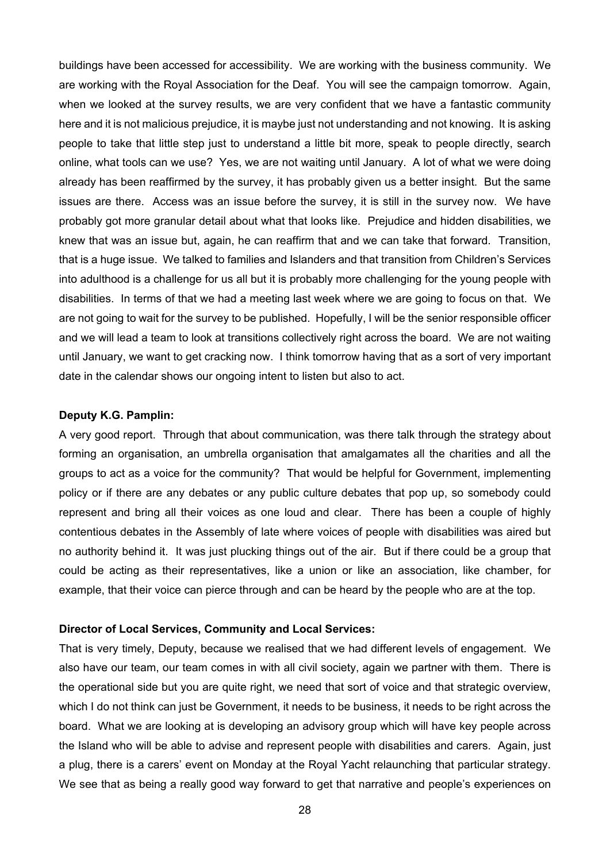buildings have been accessed for accessibility. We are working with the business community. We are working with the Royal Association for the Deaf. You will see the campaign tomorrow. Again, when we looked at the survey results, we are very confident that we have a fantastic community here and it is not malicious prejudice, it is maybe just not understanding and not knowing. It is asking people to take that little step just to understand a little bit more, speak to people directly, search online, what tools can we use? Yes, we are not waiting until January. A lot of what we were doing already has been reaffirmed by the survey, it has probably given us a better insight. But the same issues are there. Access was an issue before the survey, it is still in the survey now. We have probably got more granular detail about what that looks like. Prejudice and hidden disabilities, we knew that was an issue but, again, he can reaffirm that and we can take that forward. Transition, that is a huge issue. We talked to families and Islanders and that transition from Children's Services into adulthood is a challenge for us all but it is probably more challenging for the young people with disabilities. In terms of that we had a meeting last week where we are going to focus on that. We are not going to wait for the survey to be published. Hopefully, I will be the senior responsible officer and we will lead a team to look at transitions collectively right across the board. We are not waiting until January, we want to get cracking now. I think tomorrow having that as a sort of very important date in the calendar shows our ongoing intent to listen but also to act.

#### **Deputy K.G. Pamplin:**

A very good report. Through that about communication, was there talk through the strategy about forming an organisation, an umbrella organisation that amalgamates all the charities and all the groups to act as a voice for the community? That would be helpful for Government, implementing policy or if there are any debates or any public culture debates that pop up, so somebody could represent and bring all their voices as one loud and clear. There has been a couple of highly contentious debates in the Assembly of late where voices of people with disabilities was aired but no authority behind it. It was just plucking things out of the air. But if there could be a group that could be acting as their representatives, like a union or like an association, like chamber, for example, that their voice can pierce through and can be heard by the people who are at the top.

#### **Director of Local Services, Community and Local Services:**

That is very timely, Deputy, because we realised that we had different levels of engagement. We also have our team, our team comes in with all civil society, again we partner with them. There is the operational side but you are quite right, we need that sort of voice and that strategic overview, which I do not think can just be Government, it needs to be business, it needs to be right across the board. What we are looking at is developing an advisory group which will have key people across the Island who will be able to advise and represent people with disabilities and carers. Again, just a plug, there is a carers' event on Monday at the Royal Yacht relaunching that particular strategy. We see that as being a really good way forward to get that narrative and people's experiences on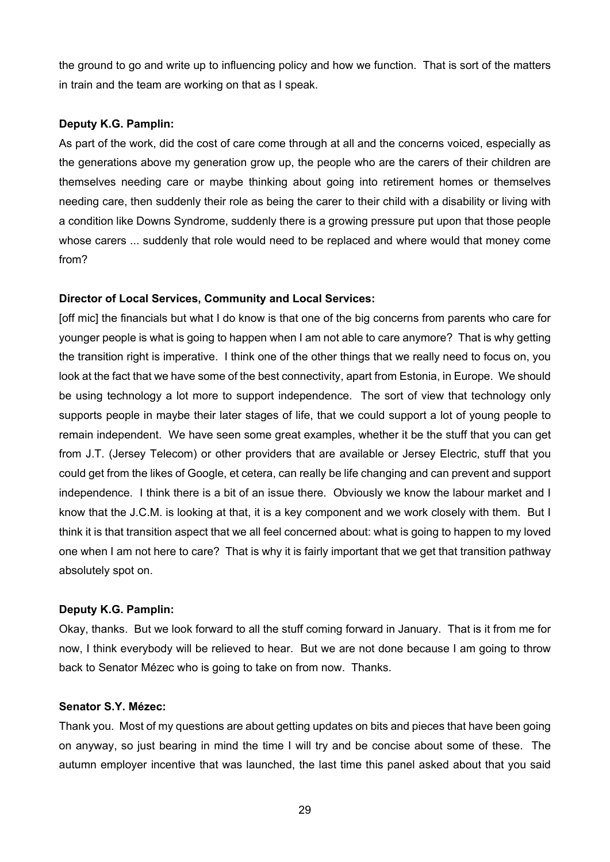the ground to go and write up to influencing policy and how we function. That is sort of the matters in train and the team are working on that as I speak.

#### **Deputy K.G. Pamplin:**

As part of the work, did the cost of care come through at all and the concerns voiced, especially as the generations above my generation grow up, the people who are the carers of their children are themselves needing care or maybe thinking about going into retirement homes or themselves needing care, then suddenly their role as being the carer to their child with a disability or living with a condition like Downs Syndrome, suddenly there is a growing pressure put upon that those people whose carers ... suddenly that role would need to be replaced and where would that money come from?

#### **Director of Local Services, Community and Local Services:**

[off mic] the financials but what I do know is that one of the big concerns from parents who care for younger people is what is going to happen when I am not able to care anymore? That is why getting the transition right is imperative. I think one of the other things that we really need to focus on, you look at the fact that we have some of the best connectivity, apart from Estonia, in Europe. We should be using technology a lot more to support independence. The sort of view that technology only supports people in maybe their later stages of life, that we could support a lot of young people to remain independent. We have seen some great examples, whether it be the stuff that you can get from J.T. (Jersey Telecom) or other providers that are available or Jersey Electric, stuff that you could get from the likes of Google, et cetera, can really be life changing and can prevent and support independence. I think there is a bit of an issue there. Obviously we know the labour market and I know that the J.C.M. is looking at that, it is a key component and we work closely with them. But I think it is that transition aspect that we all feel concerned about: what is going to happen to my loved one when I am not here to care? That is why it is fairly important that we get that transition pathway absolutely spot on.

#### **Deputy K.G. Pamplin:**

Okay, thanks. But we look forward to all the stuff coming forward in January. That is it from me for now, I think everybody will be relieved to hear. But we are not done because I am going to throw back to Senator Mézec who is going to take on from now. Thanks.

#### **Senator S.Y. Mézec:**

Thank you. Most of my questions are about getting updates on bits and pieces that have been going on anyway, so just bearing in mind the time I will try and be concise about some of these. The autumn employer incentive that was launched, the last time this panel asked about that you said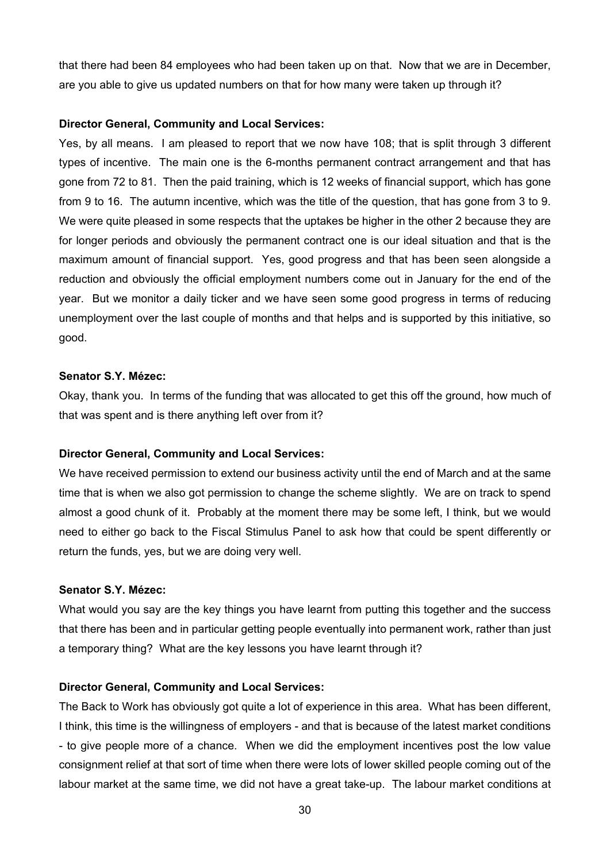that there had been 84 employees who had been taken up on that. Now that we are in December, are you able to give us updated numbers on that for how many were taken up through it?

#### **Director General, Community and Local Services:**

Yes, by all means. I am pleased to report that we now have 108; that is split through 3 different types of incentive. The main one is the 6-months permanent contract arrangement and that has gone from 72 to 81. Then the paid training, which is 12 weeks of financial support, which has gone from 9 to 16. The autumn incentive, which was the title of the question, that has gone from 3 to 9. We were quite pleased in some respects that the uptakes be higher in the other 2 because they are for longer periods and obviously the permanent contract one is our ideal situation and that is the maximum amount of financial support. Yes, good progress and that has been seen alongside a reduction and obviously the official employment numbers come out in January for the end of the year. But we monitor a daily ticker and we have seen some good progress in terms of reducing unemployment over the last couple of months and that helps and is supported by this initiative, so good.

#### **Senator S.Y. Mézec:**

Okay, thank you. In terms of the funding that was allocated to get this off the ground, how much of that was spent and is there anything left over from it?

#### **Director General, Community and Local Services:**

We have received permission to extend our business activity until the end of March and at the same time that is when we also got permission to change the scheme slightly. We are on track to spend almost a good chunk of it. Probably at the moment there may be some left, I think, but we would need to either go back to the Fiscal Stimulus Panel to ask how that could be spent differently or return the funds, yes, but we are doing very well.

## **Senator S.Y. Mézec:**

What would you say are the key things you have learnt from putting this together and the success that there has been and in particular getting people eventually into permanent work, rather than just a temporary thing? What are the key lessons you have learnt through it?

#### **Director General, Community and Local Services:**

The Back to Work has obviously got quite a lot of experience in this area. What has been different, I think, this time is the willingness of employers - and that is because of the latest market conditions - to give people more of a chance. When we did the employment incentives post the low value consignment relief at that sort of time when there were lots of lower skilled people coming out of the labour market at the same time, we did not have a great take-up. The labour market conditions at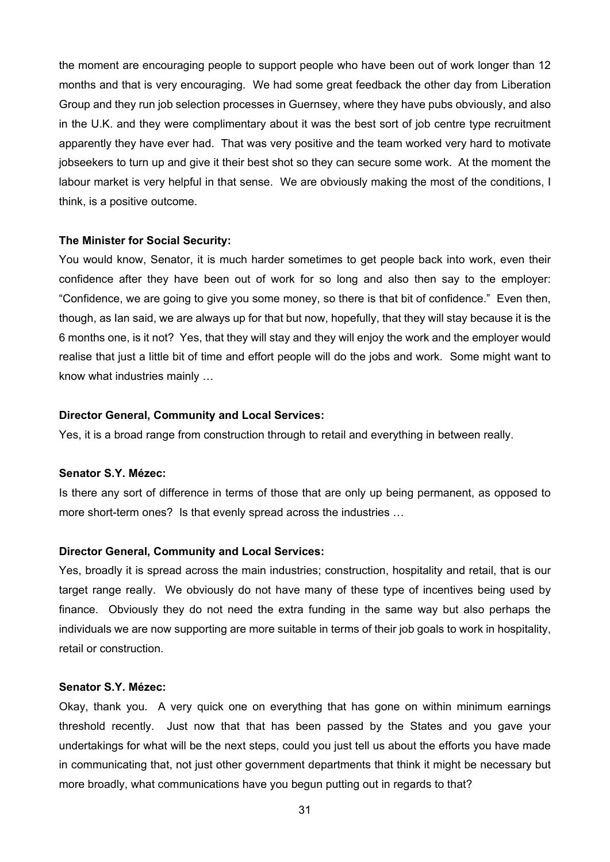the moment are encouraging people to support people who have been out of work longer than 12 months and that is very encouraging. We had some great feedback the other day from Liberation Group and they run job selection processes in Guernsey, where they have pubs obviously, and also in the U.K. and they were complimentary about it was the best sort of job centre type recruitment apparently they have ever had. That was very positive and the team worked very hard to motivate jobseekers to turn up and give it their best shot so they can secure some work. At the moment the labour market is very helpful in that sense. We are obviously making the most of the conditions, I think, is a positive outcome.

#### **The Minister for Social Security:**

You would know, Senator, it is much harder sometimes to get people back into work, even their confidence after they have been out of work for so long and also then say to the employer: "Confidence, we are going to give you some money, so there is that bit of confidence." Even then, though, as Ian said, we are always up for that but now, hopefully, that they will stay because it is the 6 months one, is it not? Yes, that they will stay and they will enjoy the work and the employer would realise that just a little bit of time and effort people will do the jobs and work. Some might want to know what industries mainly …

#### **Director General, Community and Local Services:**

Yes, it is a broad range from construction through to retail and everything in between really.

#### **Senator S.Y. Mézec:**

Is there any sort of difference in terms of those that are only up being permanent, as opposed to more short-term ones? Is that evenly spread across the industries …

#### **Director General, Community and Local Services:**

Yes, broadly it is spread across the main industries; construction, hospitality and retail, that is our target range really. We obviously do not have many of these type of incentives being used by finance. Obviously they do not need the extra funding in the same way but also perhaps the individuals we are now supporting are more suitable in terms of their job goals to work in hospitality, retail or construction.

#### **Senator S.Y. Mézec:**

Okay, thank you. A very quick one on everything that has gone on within minimum earnings threshold recently. Just now that that has been passed by the States and you gave your undertakings for what will be the next steps, could you just tell us about the efforts you have made in communicating that, not just other government departments that think it might be necessary but more broadly, what communications have you begun putting out in regards to that?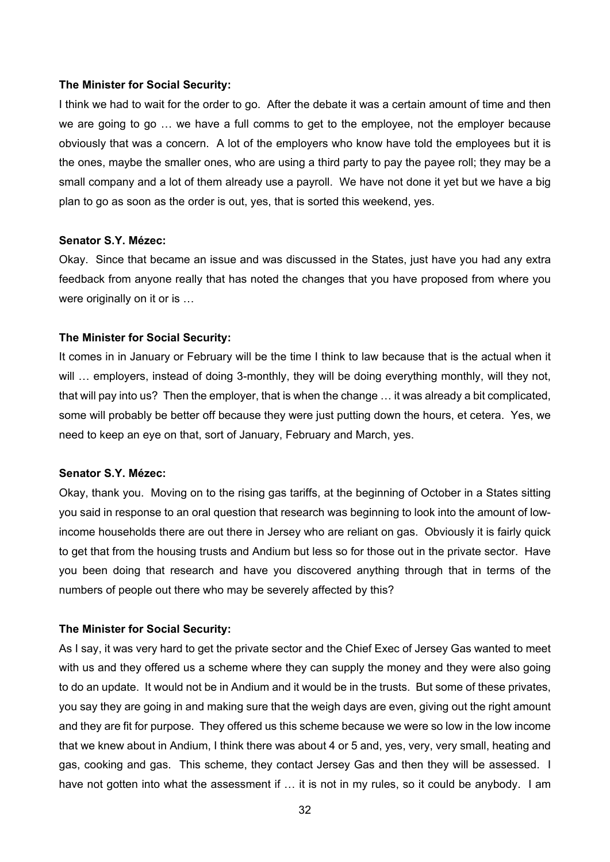#### **The Minister for Social Security:**

I think we had to wait for the order to go. After the debate it was a certain amount of time and then we are going to go … we have a full comms to get to the employee, not the employer because obviously that was a concern. A lot of the employers who know have told the employees but it is the ones, maybe the smaller ones, who are using a third party to pay the payee roll; they may be a small company and a lot of them already use a payroll. We have not done it yet but we have a big plan to go as soon as the order is out, yes, that is sorted this weekend, yes.

#### **Senator S.Y. Mézec:**

Okay. Since that became an issue and was discussed in the States, just have you had any extra feedback from anyone really that has noted the changes that you have proposed from where you were originally on it or is ...

#### **The Minister for Social Security:**

It comes in in January or February will be the time I think to law because that is the actual when it will ... employers, instead of doing 3-monthly, they will be doing everything monthly, will they not, that will pay into us? Then the employer, that is when the change … it was already a bit complicated, some will probably be better off because they were just putting down the hours, et cetera. Yes, we need to keep an eye on that, sort of January, February and March, yes.

#### **Senator S.Y. Mézec:**

Okay, thank you. Moving on to the rising gas tariffs, at the beginning of October in a States sitting you said in response to an oral question that research was beginning to look into the amount of lowincome households there are out there in Jersey who are reliant on gas. Obviously it is fairly quick to get that from the housing trusts and Andium but less so for those out in the private sector. Have you been doing that research and have you discovered anything through that in terms of the numbers of people out there who may be severely affected by this?

#### **The Minister for Social Security:**

As I say, it was very hard to get the private sector and the Chief Exec of Jersey Gas wanted to meet with us and they offered us a scheme where they can supply the money and they were also going to do an update. It would not be in Andium and it would be in the trusts. But some of these privates, you say they are going in and making sure that the weigh days are even, giving out the right amount and they are fit for purpose. They offered us this scheme because we were so low in the low income that we knew about in Andium, I think there was about 4 or 5 and, yes, very, very small, heating and gas, cooking and gas. This scheme, they contact Jersey Gas and then they will be assessed. I have not gotten into what the assessment if ... it is not in my rules, so it could be anybody. I am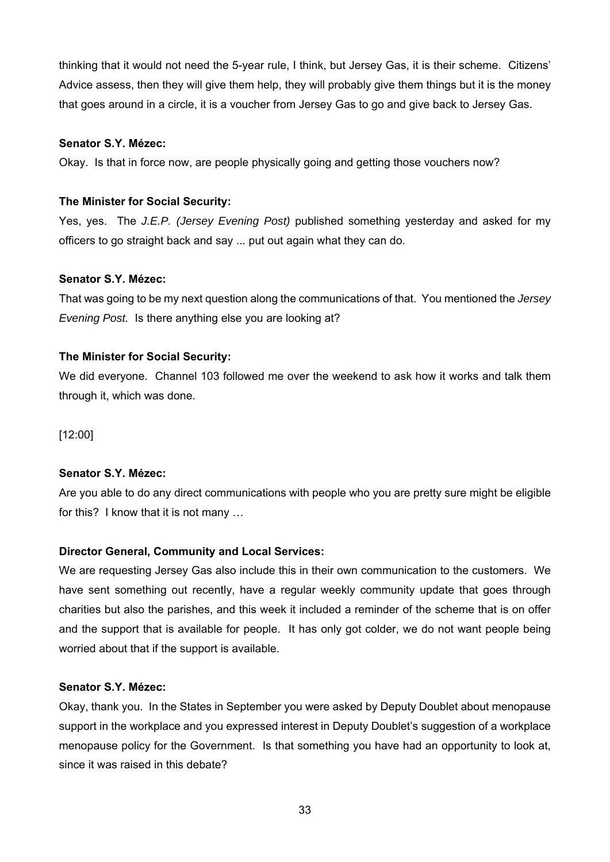thinking that it would not need the 5-year rule, I think, but Jersey Gas, it is their scheme. Citizens' Advice assess, then they will give them help, they will probably give them things but it is the money that goes around in a circle, it is a voucher from Jersey Gas to go and give back to Jersey Gas.

#### **Senator S.Y. Mézec:**

Okay. Is that in force now, are people physically going and getting those vouchers now?

#### **The Minister for Social Security:**

Yes, yes. The *J.E.P. (Jersey Evening Post)* published something yesterday and asked for my officers to go straight back and say ... put out again what they can do.

#### **Senator S.Y. Mézec:**

That was going to be my next question along the communications of that. You mentioned the *Jersey Evening Post.* Is there anything else you are looking at?

#### **The Minister for Social Security:**

We did everyone. Channel 103 followed me over the weekend to ask how it works and talk them through it, which was done.

[12:00]

## **Senator S.Y. Mézec:**

Are you able to do any direct communications with people who you are pretty sure might be eligible for this? I know that it is not many …

## **Director General, Community and Local Services:**

We are requesting Jersey Gas also include this in their own communication to the customers. We have sent something out recently, have a regular weekly community update that goes through charities but also the parishes, and this week it included a reminder of the scheme that is on offer and the support that is available for people. It has only got colder, we do not want people being worried about that if the support is available.

#### **Senator S.Y. Mézec:**

Okay, thank you. In the States in September you were asked by Deputy Doublet about menopause support in the workplace and you expressed interest in Deputy Doublet's suggestion of a workplace menopause policy for the Government. Is that something you have had an opportunity to look at, since it was raised in this debate?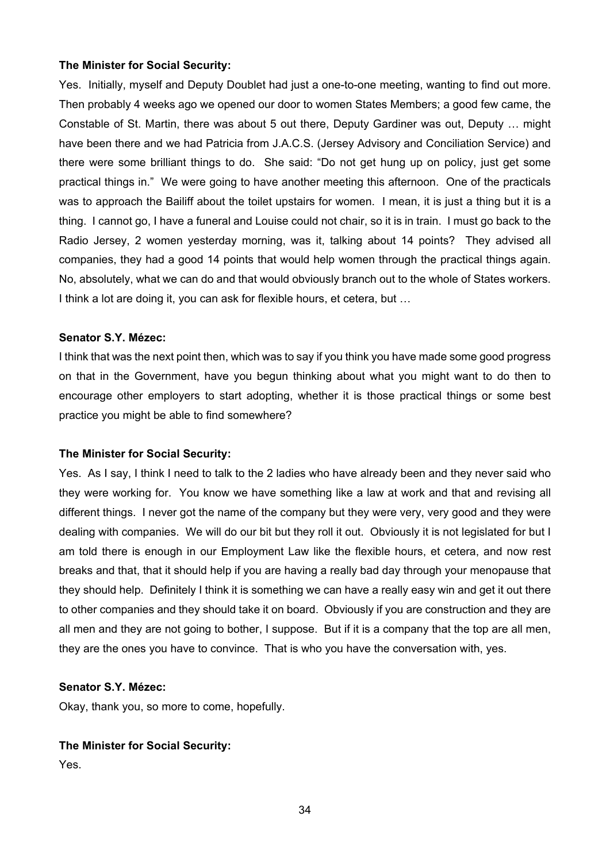#### **The Minister for Social Security:**

Yes. Initially, myself and Deputy Doublet had just a one-to-one meeting, wanting to find out more. Then probably 4 weeks ago we opened our door to women States Members; a good few came, the Constable of St. Martin, there was about 5 out there, Deputy Gardiner was out, Deputy … might have been there and we had Patricia from J.A.C.S. (Jersey Advisory and Conciliation Service) and there were some brilliant things to do. She said: "Do not get hung up on policy, just get some practical things in." We were going to have another meeting this afternoon. One of the practicals was to approach the Bailiff about the toilet upstairs for women. I mean, it is just a thing but it is a thing. I cannot go, I have a funeral and Louise could not chair, so it is in train. I must go back to the Radio Jersey, 2 women yesterday morning, was it, talking about 14 points? They advised all companies, they had a good 14 points that would help women through the practical things again. No, absolutely, what we can do and that would obviously branch out to the whole of States workers. I think a lot are doing it, you can ask for flexible hours, et cetera, but ...

#### **Senator S.Y. Mézec:**

I think that was the next point then, which was to say if you think you have made some good progress on that in the Government, have you begun thinking about what you might want to do then to encourage other employers to start adopting, whether it is those practical things or some best practice you might be able to find somewhere?

#### **The Minister for Social Security:**

Yes. As I say, I think I need to talk to the 2 ladies who have already been and they never said who they were working for. You know we have something like a law at work and that and revising all different things. I never got the name of the company but they were very, very good and they were dealing with companies. We will do our bit but they roll it out. Obviously it is not legislated for but I am told there is enough in our Employment Law like the flexible hours, et cetera, and now rest breaks and that, that it should help if you are having a really bad day through your menopause that they should help. Definitely I think it is something we can have a really easy win and get it out there to other companies and they should take it on board. Obviously if you are construction and they are all men and they are not going to bother, I suppose. But if it is a company that the top are all men, they are the ones you have to convince. That is who you have the conversation with, yes.

#### **Senator S.Y. Mézec:**

Okay, thank you, so more to come, hopefully.

#### **The Minister for Social Security:**

Yes.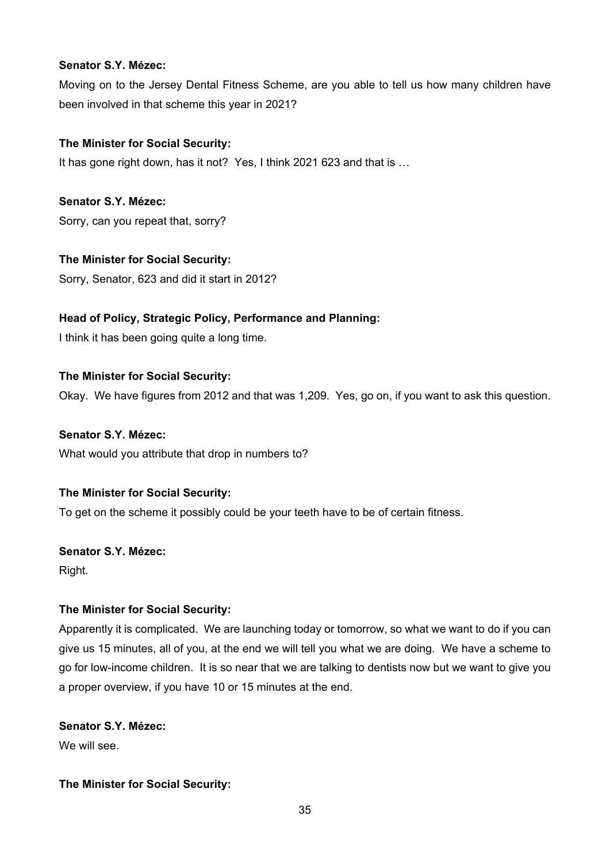#### **Senator S.Y. Mézec:**

Moving on to the Jersey Dental Fitness Scheme, are you able to tell us how many children have been involved in that scheme this year in 2021?

# **The Minister for Social Security:**

It has gone right down, has it not? Yes, I think 2021 623 and that is …

**Senator S.Y. Mézec:**  Sorry, can you repeat that, sorry?

# **The Minister for Social Security:**

Sorry, Senator, 623 and did it start in 2012?

# **Head of Policy, Strategic Policy, Performance and Planning:**

I think it has been going quite a long time.

## **The Minister for Social Security:**

Okay. We have figures from 2012 and that was 1,209. Yes, go on, if you want to ask this question.

## **Senator S.Y. Mézec:**

What would you attribute that drop in numbers to?

## **The Minister for Social Security:**

To get on the scheme it possibly could be your teeth have to be of certain fitness.

## **Senator S.Y. Mézec:**

Right.

## **The Minister for Social Security:**

Apparently it is complicated. We are launching today or tomorrow, so what we want to do if you can give us 15 minutes, all of you, at the end we will tell you what we are doing. We have a scheme to go for low-income children. It is so near that we are talking to dentists now but we want to give you a proper overview, if you have 10 or 15 minutes at the end.

# **Senator S.Y. Mézec:**

We will see.

## **The Minister for Social Security:**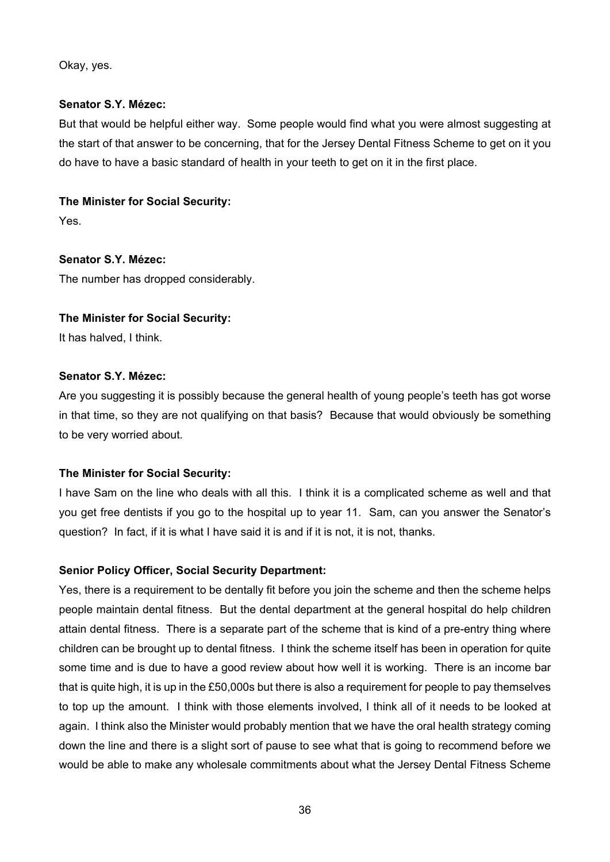Okay, yes.

#### **Senator S.Y. Mézec:**

But that would be helpful either way. Some people would find what you were almost suggesting at the start of that answer to be concerning, that for the Jersey Dental Fitness Scheme to get on it you do have to have a basic standard of health in your teeth to get on it in the first place.

# **The Minister for Social Security:**

Yes.

**Senator S.Y. Mézec:**  The number has dropped considerably.

**The Minister for Social Security:** 

It has halved, I think.

# **Senator S.Y. Mézec:**

Are you suggesting it is possibly because the general health of young people's teeth has got worse in that time, so they are not qualifying on that basis? Because that would obviously be something to be very worried about.

# **The Minister for Social Security:**

I have Sam on the line who deals with all this. I think it is a complicated scheme as well and that you get free dentists if you go to the hospital up to year 11. Sam, can you answer the Senator's question? In fact, if it is what I have said it is and if it is not, it is not, thanks.

## **Senior Policy Officer, Social Security Department:**

Yes, there is a requirement to be dentally fit before you join the scheme and then the scheme helps people maintain dental fitness. But the dental department at the general hospital do help children attain dental fitness. There is a separate part of the scheme that is kind of a pre-entry thing where children can be brought up to dental fitness. I think the scheme itself has been in operation for quite some time and is due to have a good review about how well it is working. There is an income bar that is quite high, it is up in the £50,000s but there is also a requirement for people to pay themselves to top up the amount. I think with those elements involved, I think all of it needs to be looked at again. I think also the Minister would probably mention that we have the oral health strategy coming down the line and there is a slight sort of pause to see what that is going to recommend before we would be able to make any wholesale commitments about what the Jersey Dental Fitness Scheme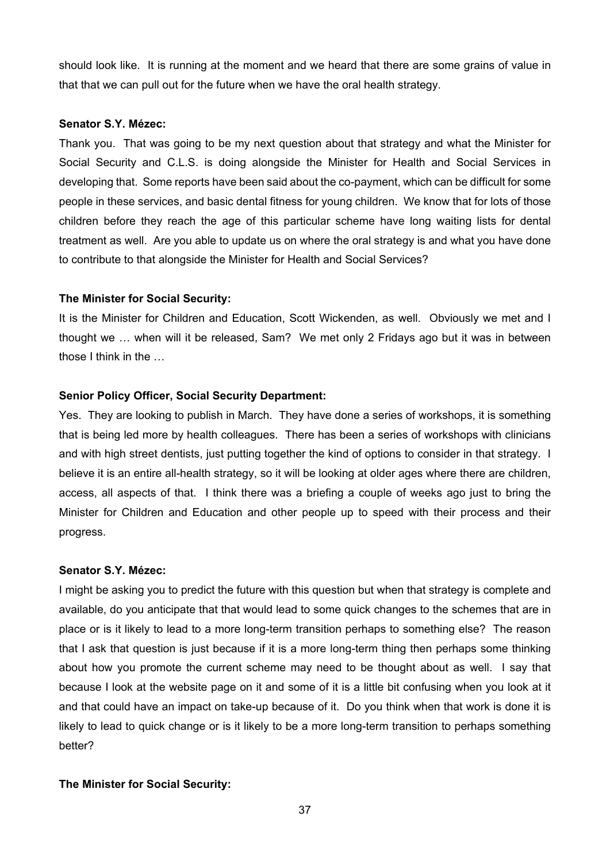should look like. It is running at the moment and we heard that there are some grains of value in that that we can pull out for the future when we have the oral health strategy.

#### **Senator S.Y. Mézec:**

Thank you. That was going to be my next question about that strategy and what the Minister for Social Security and C.L.S. is doing alongside the Minister for Health and Social Services in developing that. Some reports have been said about the co-payment, which can be difficult for some people in these services, and basic dental fitness for young children. We know that for lots of those children before they reach the age of this particular scheme have long waiting lists for dental treatment as well. Are you able to update us on where the oral strategy is and what you have done to contribute to that alongside the Minister for Health and Social Services?

#### **The Minister for Social Security:**

It is the Minister for Children and Education, Scott Wickenden, as well. Obviously we met and I thought we … when will it be released, Sam? We met only 2 Fridays ago but it was in between those I think in the …

#### **Senior Policy Officer, Social Security Department:**

Yes. They are looking to publish in March. They have done a series of workshops, it is something that is being led more by health colleagues. There has been a series of workshops with clinicians and with high street dentists, just putting together the kind of options to consider in that strategy. I believe it is an entire all-health strategy, so it will be looking at older ages where there are children, access, all aspects of that. I think there was a briefing a couple of weeks ago just to bring the Minister for Children and Education and other people up to speed with their process and their progress.

#### **Senator S.Y. Mézec:**

I might be asking you to predict the future with this question but when that strategy is complete and available, do you anticipate that that would lead to some quick changes to the schemes that are in place or is it likely to lead to a more long-term transition perhaps to something else? The reason that I ask that question is just because if it is a more long-term thing then perhaps some thinking about how you promote the current scheme may need to be thought about as well. I say that because I look at the website page on it and some of it is a little bit confusing when you look at it and that could have an impact on take-up because of it. Do you think when that work is done it is likely to lead to quick change or is it likely to be a more long-term transition to perhaps something better?

#### **The Minister for Social Security:**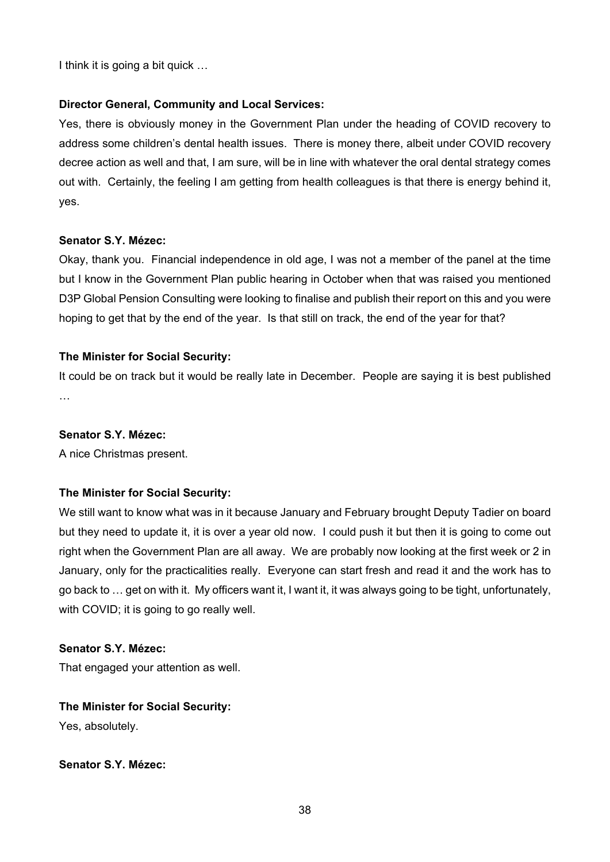I think it is going a bit quick …

### **Director General, Community and Local Services:**

Yes, there is obviously money in the Government Plan under the heading of COVID recovery to address some children's dental health issues. There is money there, albeit under COVID recovery decree action as well and that, I am sure, will be in line with whatever the oral dental strategy comes out with. Certainly, the feeling I am getting from health colleagues is that there is energy behind it, yes.

#### **Senator S.Y. Mézec:**

Okay, thank you. Financial independence in old age, I was not a member of the panel at the time but I know in the Government Plan public hearing in October when that was raised you mentioned D3P Global Pension Consulting were looking to finalise and publish their report on this and you were hoping to get that by the end of the year. Is that still on track, the end of the year for that?

#### **The Minister for Social Security:**

It could be on track but it would be really late in December. People are saying it is best published …

#### **Senator S.Y. Mézec:**

A nice Christmas present.

## **The Minister for Social Security:**

We still want to know what was in it because January and February brought Deputy Tadier on board but they need to update it, it is over a year old now. I could push it but then it is going to come out right when the Government Plan are all away. We are probably now looking at the first week or 2 in January, only for the practicalities really. Everyone can start fresh and read it and the work has to go back to … get on with it. My officers want it, I want it, it was always going to be tight, unfortunately, with COVID; it is going to go really well.

#### **Senator S.Y. Mézec:**

That engaged your attention as well.

# **The Minister for Social Security:**

Yes, absolutely.

# **Senator S.Y. Mézec:**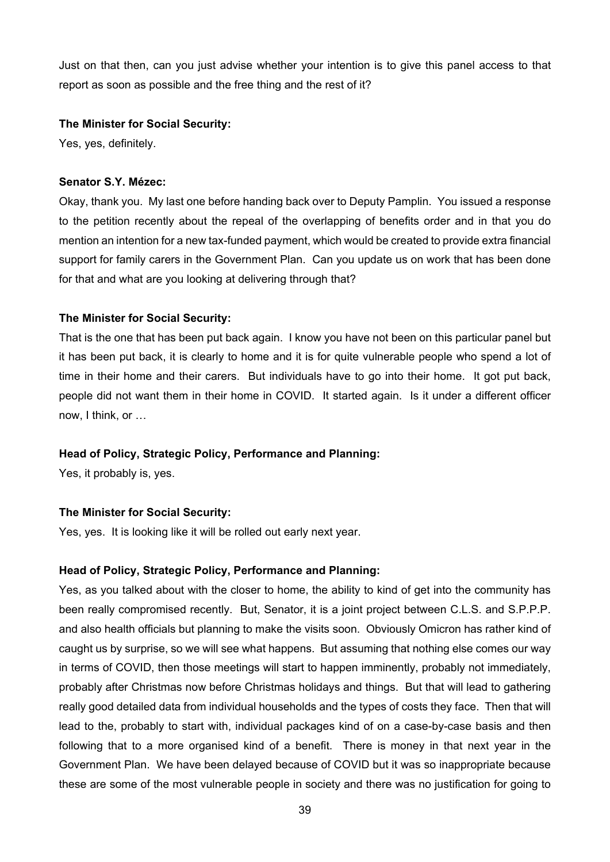Just on that then, can you just advise whether your intention is to give this panel access to that report as soon as possible and the free thing and the rest of it?

#### **The Minister for Social Security:**

Yes, yes, definitely.

#### **Senator S.Y. Mézec:**

Okay, thank you. My last one before handing back over to Deputy Pamplin. You issued a response to the petition recently about the repeal of the overlapping of benefits order and in that you do mention an intention for a new tax-funded payment, which would be created to provide extra financial support for family carers in the Government Plan. Can you update us on work that has been done for that and what are you looking at delivering through that?

## **The Minister for Social Security:**

That is the one that has been put back again. I know you have not been on this particular panel but it has been put back, it is clearly to home and it is for quite vulnerable people who spend a lot of time in their home and their carers. But individuals have to go into their home. It got put back, people did not want them in their home in COVID. It started again. Is it under a different officer now, I think, or …

## **Head of Policy, Strategic Policy, Performance and Planning:**

Yes, it probably is, yes.

## **The Minister for Social Security:**

Yes, yes. It is looking like it will be rolled out early next year.

#### **Head of Policy, Strategic Policy, Performance and Planning:**

Yes, as you talked about with the closer to home, the ability to kind of get into the community has been really compromised recently. But, Senator, it is a joint project between C.L.S. and S.P.P.P. and also health officials but planning to make the visits soon. Obviously Omicron has rather kind of caught us by surprise, so we will see what happens. But assuming that nothing else comes our way in terms of COVID, then those meetings will start to happen imminently, probably not immediately, probably after Christmas now before Christmas holidays and things. But that will lead to gathering really good detailed data from individual households and the types of costs they face. Then that will lead to the, probably to start with, individual packages kind of on a case-by-case basis and then following that to a more organised kind of a benefit. There is money in that next year in the Government Plan. We have been delayed because of COVID but it was so inappropriate because these are some of the most vulnerable people in society and there was no justification for going to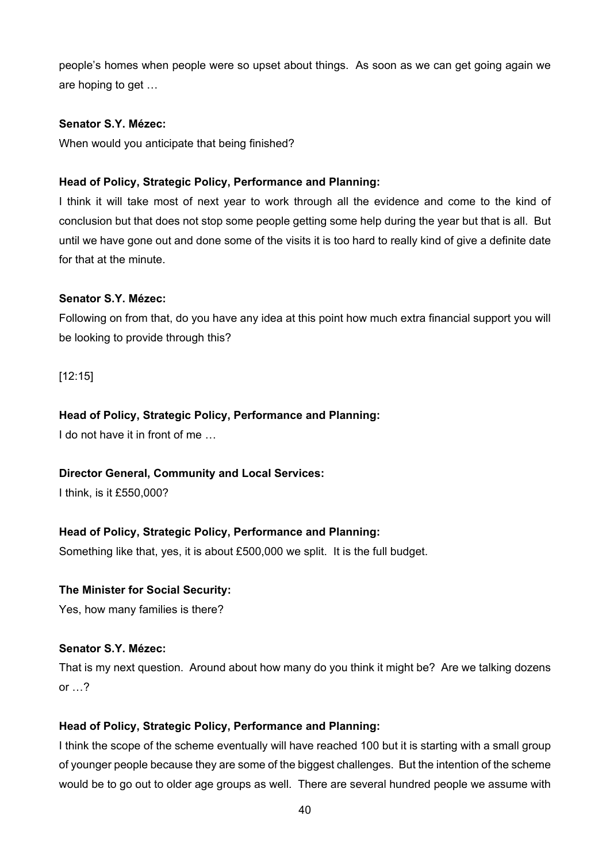people's homes when people were so upset about things. As soon as we can get going again we are hoping to get …

#### **Senator S.Y. Mézec:**

When would you anticipate that being finished?

# **Head of Policy, Strategic Policy, Performance and Planning:**

I think it will take most of next year to work through all the evidence and come to the kind of conclusion but that does not stop some people getting some help during the year but that is all. But until we have gone out and done some of the visits it is too hard to really kind of give a definite date for that at the minute.

## **Senator S.Y. Mézec:**

Following on from that, do you have any idea at this point how much extra financial support you will be looking to provide through this?

[12:15]

## **Head of Policy, Strategic Policy, Performance and Planning:**

I do not have it in front of me

## **Director General, Community and Local Services:**

I think, is it £550,000?

## **Head of Policy, Strategic Policy, Performance and Planning:**

Something like that, yes, it is about £500,000 we split. It is the full budget.

## **The Minister for Social Security:**

Yes, how many families is there?

# **Senator S.Y. Mézec:**

That is my next question. Around about how many do you think it might be? Are we talking dozens or  $\ldots$ ?

## **Head of Policy, Strategic Policy, Performance and Planning:**

I think the scope of the scheme eventually will have reached 100 but it is starting with a small group of younger people because they are some of the biggest challenges. But the intention of the scheme would be to go out to older age groups as well. There are several hundred people we assume with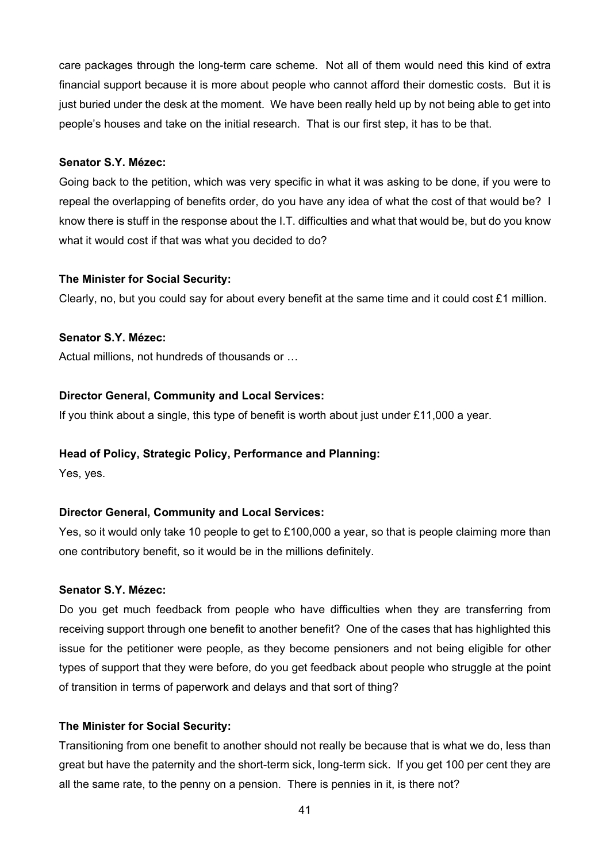care packages through the long-term care scheme. Not all of them would need this kind of extra financial support because it is more about people who cannot afford their domestic costs. But it is just buried under the desk at the moment. We have been really held up by not being able to get into people's houses and take on the initial research. That is our first step, it has to be that.

#### **Senator S.Y. Mézec:**

Going back to the petition, which was very specific in what it was asking to be done, if you were to repeal the overlapping of benefits order, do you have any idea of what the cost of that would be? I know there is stuff in the response about the I.T. difficulties and what that would be, but do you know what it would cost if that was what you decided to do?

## **The Minister for Social Security:**

Clearly, no, but you could say for about every benefit at the same time and it could cost £1 million.

#### **Senator S.Y. Mézec:**

Actual millions, not hundreds of thousands or …

#### **Director General, Community and Local Services:**

If you think about a single, this type of benefit is worth about just under £11,000 a year.

## **Head of Policy, Strategic Policy, Performance and Planning:**

Yes, yes.

## **Director General, Community and Local Services:**

Yes, so it would only take 10 people to get to £100,000 a year, so that is people claiming more than one contributory benefit, so it would be in the millions definitely.

## **Senator S.Y. Mézec:**

Do you get much feedback from people who have difficulties when they are transferring from receiving support through one benefit to another benefit? One of the cases that has highlighted this issue for the petitioner were people, as they become pensioners and not being eligible for other types of support that they were before, do you get feedback about people who struggle at the point of transition in terms of paperwork and delays and that sort of thing?

## **The Minister for Social Security:**

Transitioning from one benefit to another should not really be because that is what we do, less than great but have the paternity and the short-term sick, long-term sick. If you get 100 per cent they are all the same rate, to the penny on a pension. There is pennies in it, is there not?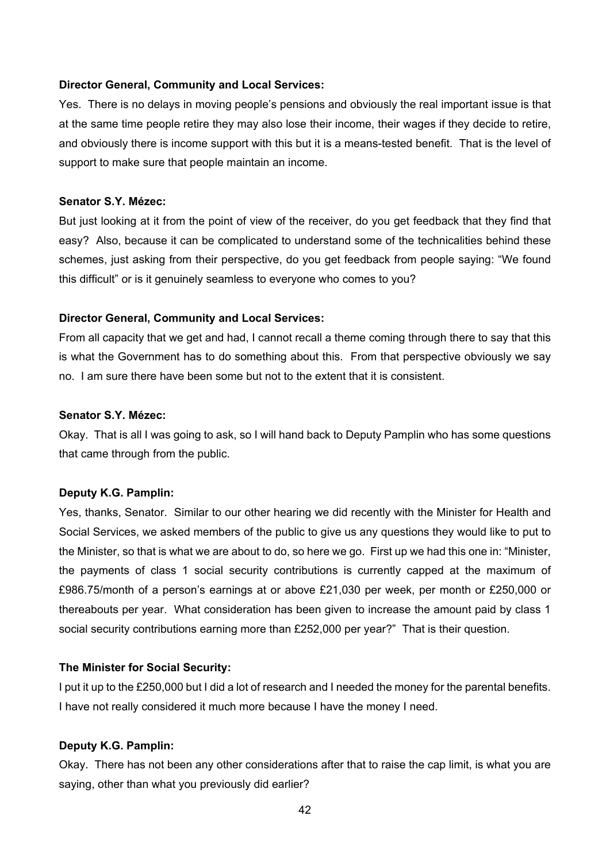#### **Director General, Community and Local Services:**

Yes. There is no delays in moving people's pensions and obviously the real important issue is that at the same time people retire they may also lose their income, their wages if they decide to retire, and obviously there is income support with this but it is a means-tested benefit. That is the level of support to make sure that people maintain an income.

#### **Senator S.Y. Mézec:**

But just looking at it from the point of view of the receiver, do you get feedback that they find that easy? Also, because it can be complicated to understand some of the technicalities behind these schemes, just asking from their perspective, do you get feedback from people saying: "We found this difficult" or is it genuinely seamless to everyone who comes to you?

#### **Director General, Community and Local Services:**

From all capacity that we get and had, I cannot recall a theme coming through there to say that this is what the Government has to do something about this. From that perspective obviously we say no. I am sure there have been some but not to the extent that it is consistent.

#### **Senator S.Y. Mézec:**

Okay. That is all I was going to ask, so I will hand back to Deputy Pamplin who has some questions that came through from the public.

#### **Deputy K.G. Pamplin:**

Yes, thanks, Senator. Similar to our other hearing we did recently with the Minister for Health and Social Services, we asked members of the public to give us any questions they would like to put to the Minister, so that is what we are about to do, so here we go. First up we had this one in: "Minister, the payments of class 1 social security contributions is currently capped at the maximum of £986.75/month of a person's earnings at or above £21,030 per week, per month or £250,000 or thereabouts per year. What consideration has been given to increase the amount paid by class 1 social security contributions earning more than £252,000 per year?" That is their question.

#### **The Minister for Social Security:**

I put it up to the £250,000 but I did a lot of research and I needed the money for the parental benefits. I have not really considered it much more because I have the money I need.

#### **Deputy K.G. Pamplin:**

Okay. There has not been any other considerations after that to raise the cap limit, is what you are saying, other than what you previously did earlier?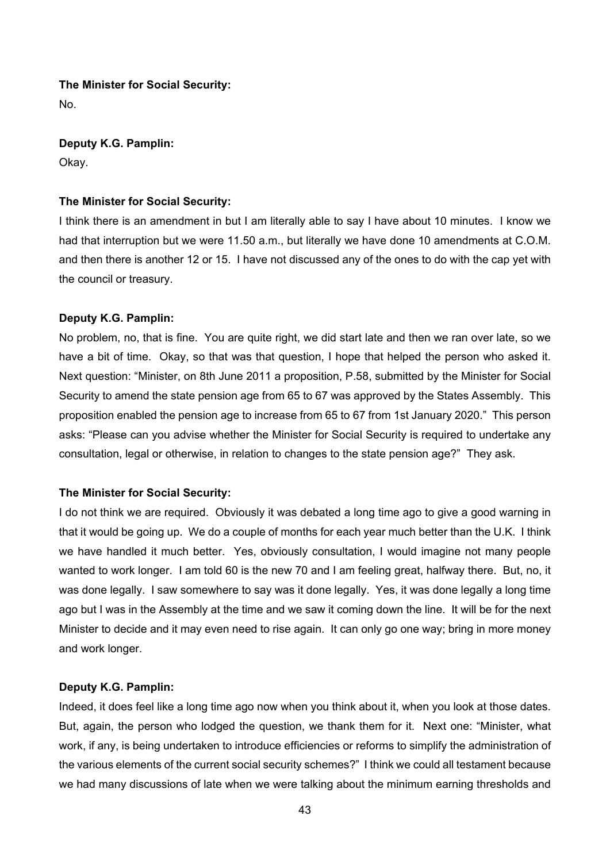#### **The Minister for Social Security:**

No.

**Deputy K.G. Pamplin:** 

Okay.

#### **The Minister for Social Security:**

I think there is an amendment in but I am literally able to say I have about 10 minutes. I know we had that interruption but we were 11.50 a.m., but literally we have done 10 amendments at C.O.M. and then there is another 12 or 15. I have not discussed any of the ones to do with the cap yet with the council or treasury.

#### **Deputy K.G. Pamplin:**

No problem, no, that is fine. You are quite right, we did start late and then we ran over late, so we have a bit of time. Okay, so that was that question, I hope that helped the person who asked it. Next question: "Minister, on 8th June 2011 a proposition, P.58, submitted by the Minister for Social Security to amend the state pension age from 65 to 67 was approved by the States Assembly. This proposition enabled the pension age to increase from 65 to 67 from 1st January 2020." This person asks: "Please can you advise whether the Minister for Social Security is required to undertake any consultation, legal or otherwise, in relation to changes to the state pension age?" They ask.

## **The Minister for Social Security:**

I do not think we are required. Obviously it was debated a long time ago to give a good warning in that it would be going up. We do a couple of months for each year much better than the U.K. I think we have handled it much better. Yes, obviously consultation, I would imagine not many people wanted to work longer. I am told 60 is the new 70 and I am feeling great, halfway there. But, no, it was done legally. I saw somewhere to say was it done legally. Yes, it was done legally a long time ago but I was in the Assembly at the time and we saw it coming down the line. It will be for the next Minister to decide and it may even need to rise again. It can only go one way; bring in more money and work longer.

#### **Deputy K.G. Pamplin:**

Indeed, it does feel like a long time ago now when you think about it, when you look at those dates. But, again, the person who lodged the question, we thank them for it. Next one: "Minister, what work, if any, is being undertaken to introduce efficiencies or reforms to simplify the administration of the various elements of the current social security schemes?" I think we could all testament because we had many discussions of late when we were talking about the minimum earning thresholds and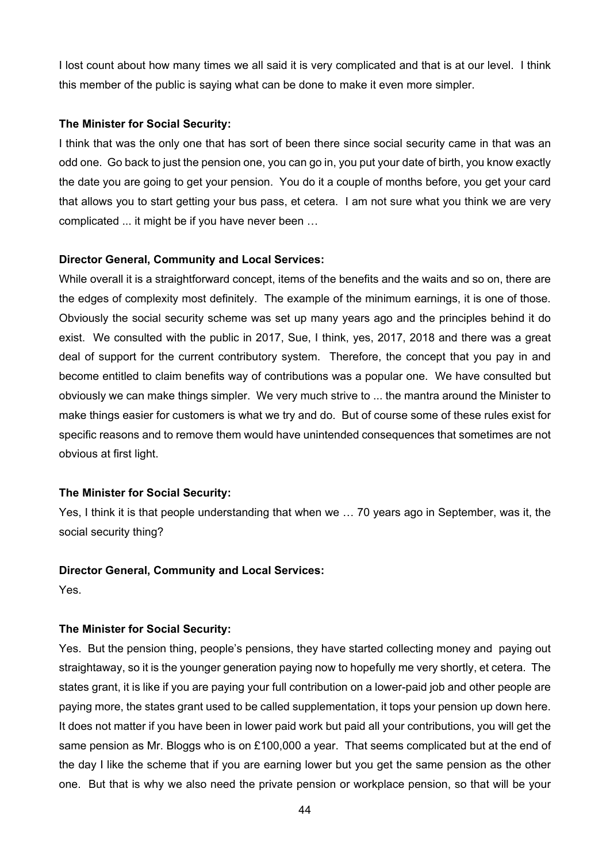I lost count about how many times we all said it is very complicated and that is at our level. I think this member of the public is saying what can be done to make it even more simpler.

#### **The Minister for Social Security:**

I think that was the only one that has sort of been there since social security came in that was an odd one. Go back to just the pension one, you can go in, you put your date of birth, you know exactly the date you are going to get your pension. You do it a couple of months before, you get your card that allows you to start getting your bus pass, et cetera. I am not sure what you think we are very complicated ... it might be if you have never been …

## **Director General, Community and Local Services:**

While overall it is a straightforward concept, items of the benefits and the waits and so on, there are the edges of complexity most definitely. The example of the minimum earnings, it is one of those. Obviously the social security scheme was set up many years ago and the principles behind it do exist. We consulted with the public in 2017, Sue, I think, yes, 2017, 2018 and there was a great deal of support for the current contributory system. Therefore, the concept that you pay in and become entitled to claim benefits way of contributions was a popular one. We have consulted but obviously we can make things simpler. We very much strive to ... the mantra around the Minister to make things easier for customers is what we try and do. But of course some of these rules exist for specific reasons and to remove them would have unintended consequences that sometimes are not obvious at first light.

# **The Minister for Social Security:**

Yes, I think it is that people understanding that when we … 70 years ago in September, was it, the social security thing?

## **Director General, Community and Local Services:**

Yes.

# **The Minister for Social Security:**

Yes. But the pension thing, people's pensions, they have started collecting money and paying out straightaway, so it is the younger generation paying now to hopefully me very shortly, et cetera. The states grant, it is like if you are paying your full contribution on a lower-paid job and other people are paying more, the states grant used to be called supplementation, it tops your pension up down here. It does not matter if you have been in lower paid work but paid all your contributions, you will get the same pension as Mr. Bloggs who is on £100,000 a year. That seems complicated but at the end of the day I like the scheme that if you are earning lower but you get the same pension as the other one. But that is why we also need the private pension or workplace pension, so that will be your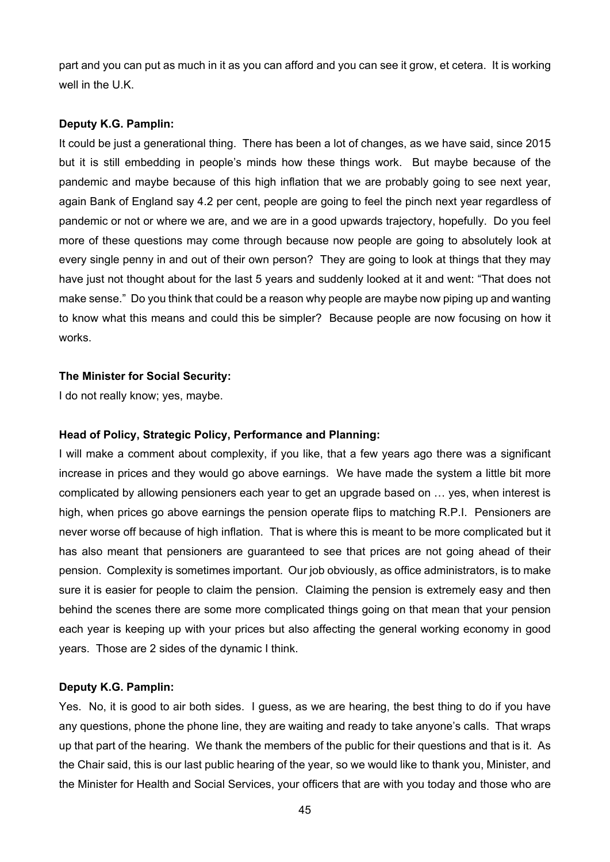part and you can put as much in it as you can afford and you can see it grow, et cetera. It is working well in the U.K.

#### **Deputy K.G. Pamplin:**

It could be just a generational thing. There has been a lot of changes, as we have said, since 2015 but it is still embedding in people's minds how these things work. But maybe because of the pandemic and maybe because of this high inflation that we are probably going to see next year, again Bank of England say 4.2 per cent, people are going to feel the pinch next year regardless of pandemic or not or where we are, and we are in a good upwards trajectory, hopefully. Do you feel more of these questions may come through because now people are going to absolutely look at every single penny in and out of their own person? They are going to look at things that they may have just not thought about for the last 5 years and suddenly looked at it and went: "That does not make sense." Do you think that could be a reason why people are maybe now piping up and wanting to know what this means and could this be simpler? Because people are now focusing on how it works.

#### **The Minister for Social Security:**

I do not really know; yes, maybe.

## **Head of Policy, Strategic Policy, Performance and Planning:**

I will make a comment about complexity, if you like, that a few years ago there was a significant increase in prices and they would go above earnings. We have made the system a little bit more complicated by allowing pensioners each year to get an upgrade based on … yes, when interest is high, when prices go above earnings the pension operate flips to matching R.P.I. Pensioners are never worse off because of high inflation. That is where this is meant to be more complicated but it has also meant that pensioners are guaranteed to see that prices are not going ahead of their pension. Complexity is sometimes important. Our job obviously, as office administrators, is to make sure it is easier for people to claim the pension. Claiming the pension is extremely easy and then behind the scenes there are some more complicated things going on that mean that your pension each year is keeping up with your prices but also affecting the general working economy in good years. Those are 2 sides of the dynamic I think.

## **Deputy K.G. Pamplin:**

Yes. No, it is good to air both sides. I guess, as we are hearing, the best thing to do if you have any questions, phone the phone line, they are waiting and ready to take anyone's calls. That wraps up that part of the hearing. We thank the members of the public for their questions and that is it. As the Chair said, this is our last public hearing of the year, so we would like to thank you, Minister, and the Minister for Health and Social Services, your officers that are with you today and those who are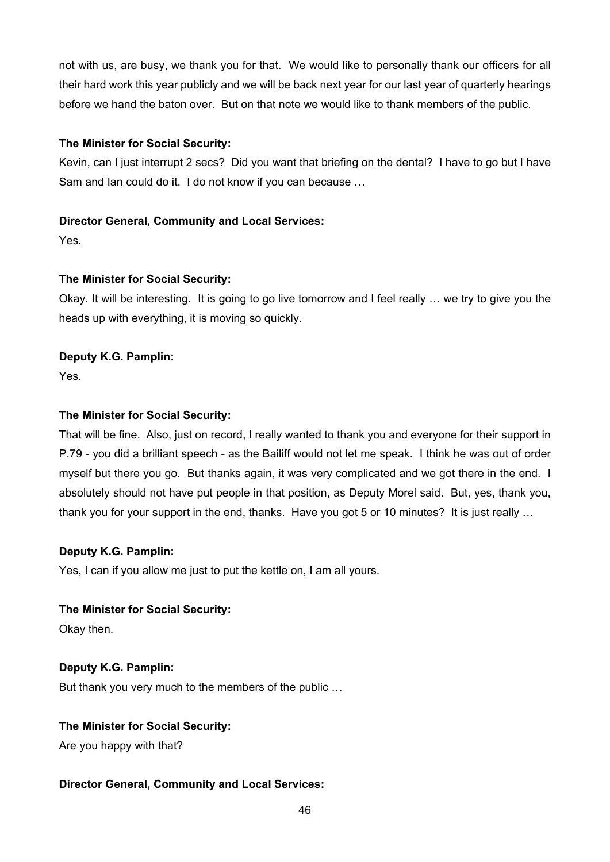not with us, are busy, we thank you for that. We would like to personally thank our officers for all their hard work this year publicly and we will be back next year for our last year of quarterly hearings before we hand the baton over. But on that note we would like to thank members of the public.

# **The Minister for Social Security:**

Kevin, can I just interrupt 2 secs? Did you want that briefing on the dental? I have to go but I have Sam and Ian could do it. I do not know if you can because …

# **Director General, Community and Local Services:**

Yes.

# **The Minister for Social Security:**

Okay. It will be interesting. It is going to go live tomorrow and I feel really … we try to give you the heads up with everything, it is moving so quickly.

# **Deputy K.G. Pamplin:**

Yes.

# **The Minister for Social Security:**

That will be fine. Also, just on record, I really wanted to thank you and everyone for their support in P.79 - you did a brilliant speech - as the Bailiff would not let me speak. I think he was out of order myself but there you go. But thanks again, it was very complicated and we got there in the end. I absolutely should not have put people in that position, as Deputy Morel said. But, yes, thank you, thank you for your support in the end, thanks. Have you got 5 or 10 minutes? It is just really …

# **Deputy K.G. Pamplin:**

Yes, I can if you allow me just to put the kettle on, I am all yours.

## **The Minister for Social Security:**

Okay then.

# **Deputy K.G. Pamplin:**

But thank you very much to the members of the public …

## **The Minister for Social Security:**

Are you happy with that?

# **Director General, Community and Local Services:**